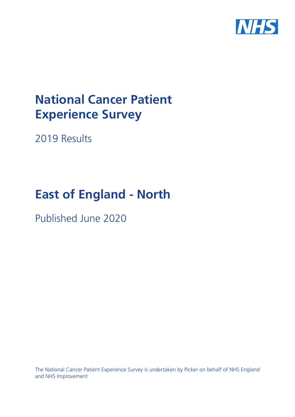

# **National Cancer Patient Experience Survey**

2019 Results

# **East of England - North**

Published June 2020

The National Cancer Patient Experience Survey is undertaken by Picker on behalf of NHS England and NHS Improvement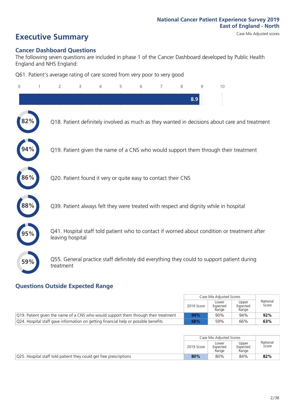# **Executive Summary** Case Mix Adjusted scores

### **Cancer Dashboard Questions**

The following seven questions are included in phase 1 of the Cancer Dashboard developed by Public Health England and NHS England:

Q61. Patient's average rating of care scored from very poor to very good

| $\Omega$ | $\overline{2}$                                                | 3 | 5 | 6 | 7 | 8 | 9   | 10                                                                                            |
|----------|---------------------------------------------------------------|---|---|---|---|---|-----|-----------------------------------------------------------------------------------------------|
|          |                                                               |   |   |   |   |   | 8.9 |                                                                                               |
|          |                                                               |   |   |   |   |   |     | Q18. Patient definitely involved as much as they wanted in decisions about care and treatment |
|          |                                                               |   |   |   |   |   |     | Q19. Patient given the name of a CNS who would support them through their treatment           |
| 86%      | Q20. Patient found it very or quite easy to contact their CNS |   |   |   |   |   |     |                                                                                               |
| 88%      |                                                               |   |   |   |   |   |     | Q39. Patient always felt they were treated with respect and dignity while in hospital         |
|          | leaving hospital                                              |   |   |   |   |   |     | Q41. Hospital staff told patient who to contact if worried about condition or treatment after |
| 59%      | treatment                                                     |   |   |   |   |   |     | Q55. General practice staff definitely did everything they could to support patient during    |

### **Questions Outside Expected Range**

|                                                                                     |            | Case Mix Adjusted Scores   |                            |                   |
|-------------------------------------------------------------------------------------|------------|----------------------------|----------------------------|-------------------|
|                                                                                     | 2019 Score | Lower<br>Expected<br>Range | Upper<br>Expected<br>Range | National<br>Score |
| Q19. Patient given the name of a CNS who would support them through their treatment | 94%        | 90%                        | 94%                        | 92%               |
| Q24. Hospital staff gave information on getting financial help or possible benefits | 68%        | 59%                        | 66%                        | 63%               |

|                                                                    |            | Case Mix Adjusted Scores   |                            |                   |
|--------------------------------------------------------------------|------------|----------------------------|----------------------------|-------------------|
|                                                                    | 2019 Score | Lower<br>Expected<br>Range | Upper<br>Expected<br>Range | National<br>Score |
| Q25. Hospital staff told patient they could get free prescriptions | 80%        | 80%                        | 84%                        | 82%               |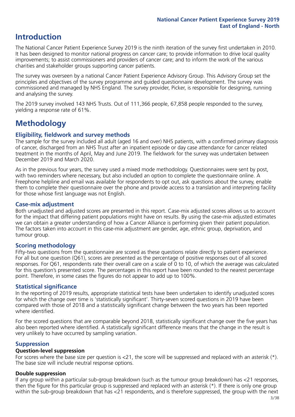### **Introduction**

The National Cancer Patient Experience Survey 2019 is the ninth iteration of the survey first undertaken in 2010. It has been designed to monitor national progress on cancer care; to provide information to drive local quality improvements; to assist commissioners and providers of cancer care; and to inform the work of the various charities and stakeholder groups supporting cancer patients.

The survey was overseen by a national Cancer Patient Experience Advisory Group. This Advisory Group set the principles and objectives of the survey programme and guided questionnaire development. The survey was commissioned and managed by NHS England. The survey provider, Picker, is responsible for designing, running and analysing the survey.

The 2019 survey involved 143 NHS Trusts. Out of 111,366 people, 67,858 people responded to the survey, yielding a response rate of 61%.

### **Methodology**

### **Eligibility, fieldwork and survey methods**

The sample for the survey included all adult (aged 16 and over) NHS patients, with a confirmed primary diagnosis of cancer, discharged from an NHS Trust after an inpatient episode or day case attendance for cancer related treatment in the months of April, May and June 2019. The fieldwork for the survey was undertaken between December 2019 and March 2020.

As in the previous four years, the survey used a mixed mode methodology. Questionnaires were sent by post, with two reminders where necessary, but also included an option to complete the questionnaire online. A Freephone helpline and email was available for respondents to opt out, ask questions about the survey, enable them to complete their questionnaire over the phone and provide access to a translation and interpreting facility for those whose first language was not English.

### **Case-mix adjustment**

Both unadjusted and adjusted scores are presented in this report. Case-mix adjusted scores allows us to account for the impact that differing patient populations might have on results. By using the case-mix adjusted estimates we can obtain a greater understanding of how a Cancer Alliance is performing given their patient population. The factors taken into account in this case-mix adjustment are gender, age, ethnic group, deprivation, and tumour group.

### **Scoring methodology**

Fifty-two questions from the questionnaire are scored as these questions relate directly to patient experience. For all but one question (Q61), scores are presented as the percentage of positive responses out of all scored responses. For Q61, respondents rate their overall care on a scale of 0 to 10, of which the average was calculated for this question's presented score. The percentages in this report have been rounded to the nearest percentage point. Therefore, in some cases the figures do not appear to add up to 100%.

### **Statistical significance**

In the reporting of 2019 results, appropriate statistical tests have been undertaken to identify unadjusted scores for which the change over time is 'statistically significant'. Thirty-seven scored questions in 2019 have been compared with those of 2018 and a statistically significant change between the two years has been reported where identified.

For the scored questions that are comparable beyond 2018, statistically significant change over the five years has also been reported where identified. A statistically significant difference means that the change in the result is very unlikely to have occurred by sampling variation.

### **Suppression**

### **Question-level suppression**

For scores where the base size per question is  $<$ 21, the score will be suppressed and replaced with an asterisk (\*). The base size will include neutral response options.

#### **Double suppression**

If any group within a particular sub-group breakdown (such as the tumour group breakdown) has <21 responses, then the figure for this particular group is suppressed and replaced with an asterisk (\*). If there is only one group within the sub-group breakdown that has <21 respondents, and is therefore suppressed, the group with the next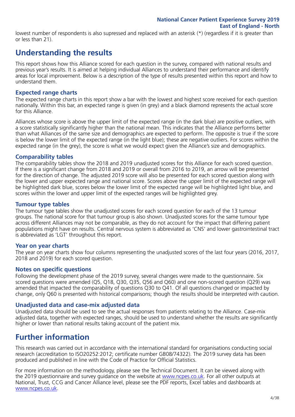lowest number of respondents is also supressed and replaced with an asterisk (\*) (regardless if it is greater than or less than 21).

### **Understanding the results**

This report shows how this Alliance scored for each question in the survey, compared with national results and previous year's results. It is aimed at helping individual Alliances to understand their performance and identify areas for local improvement. Below is a description of the type of results presented within this report and how to understand them.

### **Expected range charts**

The expected range charts in this report show a bar with the lowest and highest score received for each question nationally. Within this bar, an expected range is given (in grey) and a black diamond represents the actual score for this Alliance.

Alliances whose score is above the upper limit of the expected range (in the dark blue) are positive outliers, with a score statistically significantly higher than the national mean. This indicates that the Alliance performs better than what Alliances of the same size and demographics are expected to perform. The opposite is true if the score is below the lower limit of the expected range (in the light blue); these are negative outliers. For scores within the expected range (in the grey), the score is what we would expect given the Alliance's size and demographics.

### **Comparability tables**

The comparability tables show the 2018 and 2019 unadjusted scores for this Alliance for each scored question. If there is a significant change from 2018 and 2019 or overall from 2016 to 2019, an arrow will be presented for the direction of change. The adjusted 2019 score will also be presented for each scored question along with the lower and upper expected range and national score. Scores above the upper limit of the expected range will be highlighted dark blue, scores below the lower limit of the expected range will be highlighted light blue, and scores within the lower and upper limit of the expected ranges will be highlighted grey.

### **Tumour type tables**

The tumour type tables show the unadjusted scores for each scored question for each of the 13 tumour groups. The national score for that tumour group is also shown. Unadjusted scores for the same tumour type across different Alliances may not be comparable, as they do not account for the impact that differing patient populations might have on results. Central nervous system is abbreviated as 'CNS' and lower gastrointestinal tract is abbreviated as 'LGT' throughout this report.

### **Year on year charts**

The year on year charts show four columns representing the unadjusted scores of the last four years (2016, 2017, 2018 and 2019) for each scored question.

### **Notes on specific questions**

Following the development phase of the 2019 survey, several changes were made to the questionnaire. Six scored questions were amended (Q5, Q18, Q30, Q35, Q56 and Q60) and one non-scored question (Q29) was amended that impacted the comparability of questions Q30 to Q41. Of all questions changed or impacted by change, only Q60 is presented with historical comparisons; though the results should be interpreted with caution.

### **Unadjusted data and case-mix adjusted data**

Unadjusted data should be used to see the actual responses from patients relating to the Alliance. Case-mix adjusted data, together with expected ranges, should be used to understand whether the results are significantly higher or lower than national results taking account of the patient mix.

### **Further information**

This research was carried out in accordance with the international standard for organisations conducting social research (accreditation to ISO20252:2012; certificate number GB08/74322). The 2019 survey data has been produced and published in line with the Code of Practice for Official Statistics.

For more information on the methodology, please see the Technical Document. It can be viewed along with the 2019 questionnaire and survey guidance on the website at [www.ncpes.co.uk](https://www.ncpes.co.uk/supporting-documents). For all other outputs at National, Trust, CCG and Cancer Alliance level, please see the PDF reports, Excel tables and dashboards at [www.ncpes.co.uk.](https://www.ncpes.co.uk/current-results)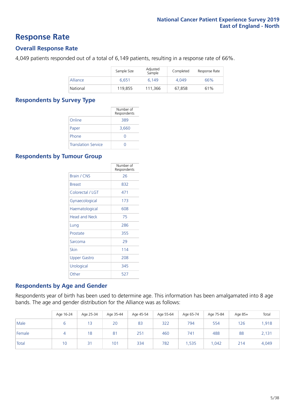### **Response Rate**

### **Overall Response Rate**

4,049 patients responded out of a total of 6,149 patients, resulting in a response rate of 66%.

|          | Sample Size | Adjusted<br>Sample | Completed | Response Rate |
|----------|-------------|--------------------|-----------|---------------|
| Alliance | 6.651       | 6.149              | 4.049     | 66%           |
| National | 119,855     | 111.366            | 67.858    | 61%           |

### **Respondents by Survey Type**

|                            | Number of<br>Respondents |
|----------------------------|--------------------------|
| Online                     | 389                      |
| Paper                      | 3,660                    |
| Phone                      | $\left( \right)$         |
| <b>Translation Service</b> |                          |

### **Respondents by Tumour Group**

|                      | Number of<br>Respondents |
|----------------------|--------------------------|
| <b>Brain / CNS</b>   | 26                       |
| <b>Breast</b>        | 832                      |
| Colorectal / LGT     | 471                      |
| Gynaecological       | 173                      |
| Haematological       | 608                      |
| <b>Head and Neck</b> | 75                       |
| Lung                 | 286                      |
| Prostate             | 355                      |
| Sarcoma              | 29                       |
| Skin                 | 114                      |
| Upper Gastro         | 208                      |
| Urological           | 345                      |
| Other                | 527                      |

### **Respondents by Age and Gender**

Respondents year of birth has been used to determine age. This information has been amalgamated into 8 age bands. The age and gender distribution for the Alliance was as follows:

|        | Age 16-24 | Age 25-34 | Age 35-44 | Age 45-54 | Age 55-64 | Age 65-74 | Age 75-84 | Age 85+ | Total |
|--------|-----------|-----------|-----------|-----------|-----------|-----------|-----------|---------|-------|
| Male   |           | 13        | 20        | 83        | 322       | 794       | 554       | 126     | 1,918 |
| Female | $\Delta$  | 18        | 81        | 251       | 460       | 741       | 488       | 88      | 2,131 |
| Total  | 10        | 31        | 101       | 334       | 782       | .535      | .042      | 214     | 4,049 |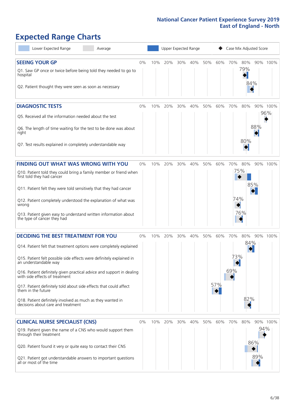# **Expected Range Charts**

| Lower Expected Range<br>Average                                                                         |    |     |     |     | Upper Expected Range |     |     |          | Case Mix Adjusted Score |     |          |
|---------------------------------------------------------------------------------------------------------|----|-----|-----|-----|----------------------|-----|-----|----------|-------------------------|-----|----------|
| <b>SEEING YOUR GP</b>                                                                                   | 0% | 10% | 20% | 30% | 40%                  | 50% | 60% | 70%      | 80%                     |     | 90% 100% |
| Q1. Saw GP once or twice before being told they needed to go to<br>hospital                             |    |     |     |     |                      |     |     |          | 79%                     |     |          |
| Q2. Patient thought they were seen as soon as necessary                                                 |    |     |     |     |                      |     |     |          | 84%                     |     |          |
| <b>DIAGNOSTIC TESTS</b>                                                                                 | 0% | 10% | 20% | 30% | 40%                  | 50% | 60% | 70%      | 80%                     |     | 90% 100% |
| O5. Received all the information needed about the test                                                  |    |     |     |     |                      |     |     |          |                         |     | 96%      |
| Q6. The length of time waiting for the test to be done was about<br>right                               |    |     |     |     |                      |     |     |          |                         | 88% |          |
| Q7. Test results explained in completely understandable way                                             |    |     |     |     |                      |     |     |          | 80%                     |     |          |
| <b>FINDING OUT WHAT WAS WRONG WITH YOU</b>                                                              | 0% | 10% | 20% | 30% | 40%                  | 50% | 60% | 70%      | 80%                     |     | 90% 100% |
| Q10. Patient told they could bring a family member or friend when<br>first told they had cancer         |    |     |     |     |                      |     |     |          | 75%                     |     |          |
| Q11. Patient felt they were told sensitively that they had cancer                                       |    |     |     |     |                      |     |     |          |                         | 85% |          |
| Q12. Patient completely understood the explanation of what was<br>wrong                                 |    |     |     |     |                      |     |     | 74%      |                         |     |          |
| Q13. Patient given easy to understand written information about<br>the type of cancer they had          |    |     |     |     |                      |     |     |          | 76%                     |     |          |
| <b>DECIDING THE BEST TREATMENT FOR YOU</b>                                                              | 0% | 10% | 20% | 30% | 40%                  | 50% | 60% | 70%      | 80%                     |     | 90% 100% |
| Q14. Patient felt that treatment options were completely explained                                      |    |     |     |     |                      |     |     |          | 84%                     |     |          |
| Q15. Patient felt possible side effects were definitely explained in<br>an understandable way           |    |     |     |     |                      |     |     | 73%<br>◆ |                         |     |          |
| Q16. Patient definitely given practical advice and support in dealing<br>with side effects of treatment |    |     |     |     |                      |     |     | 69%      |                         |     |          |
| Q17. Patient definitely told about side effects that could affect<br>them in the future                 |    |     |     |     |                      |     | 57% |          |                         |     |          |
| Q18. Patient definitely involved as much as they wanted in<br>decisions about care and treatment        |    |     |     |     |                      |     |     |          | 82%                     |     |          |
| <b>CLINICAL NURSE SPECIALIST (CNS)</b>                                                                  | 0% | 10% | 20% | 30% | 40%                  | 50% | 60% | 70%      | 80%                     |     | 90% 100% |
| Q19. Patient given the name of a CNS who would support them<br>through their treatment                  |    |     |     |     |                      |     |     |          |                         | 94% |          |
| Q20. Patient found it very or quite easy to contact their CNS                                           |    |     |     |     |                      |     |     |          |                         | 86% |          |
| Q21. Patient got understandable answers to important questions<br>all or most of the time               |    |     |     |     |                      |     |     |          |                         | 89% |          |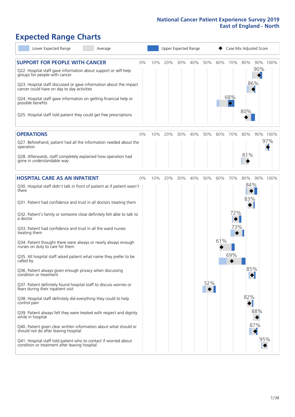# **Expected Range Charts**

| Lower Expected Range<br>Average                                                                                                                                                                                                                                                                                                                                                                                                                                                                                                                                                                                  |    |     | Upper Expected Range |     |     |     |     | Case Mix Adjusted Score      |                   |                   |                 |
|------------------------------------------------------------------------------------------------------------------------------------------------------------------------------------------------------------------------------------------------------------------------------------------------------------------------------------------------------------------------------------------------------------------------------------------------------------------------------------------------------------------------------------------------------------------------------------------------------------------|----|-----|----------------------|-----|-----|-----|-----|------------------------------|-------------------|-------------------|-----------------|
| <b>SUPPORT FOR PEOPLE WITH CANCER</b><br>Q22. Hospital staff gave information about support or self-help<br>groups for people with cancer<br>Q23. Hospital staff discussed or gave information about the impact<br>cancer could have on day to day activities<br>Q24. Hospital staff gave information on getting financial help or<br>possible benefits<br>Q25. Hospital staff told patient they could get free prescriptions                                                                                                                                                                                    | 0% | 10% | 20%                  | 30% | 40% | 50% | 60% | 70%<br>68%                   | 80%<br>80%        | 90%<br>86%        | 90% 100%        |
| <b>OPERATIONS</b><br>Q27. Beforehand, patient had all the information needed about the<br>operation<br>Q28. Afterwards, staff completely explained how operation had<br>gone in understandable way                                                                                                                                                                                                                                                                                                                                                                                                               | 0% | 10% | 20%                  | 30% | 40% | 50% | 60% | 70%                          | 80%<br>81%        |                   | 90% 100%<br>97% |
| <b>HOSPITAL CARE AS AN INPATIENT</b><br>Q30. Hospital staff didn't talk in front of patient as if patient wasn't<br>there<br>Q31. Patient had confidence and trust in all doctors treating them<br>Q32. Patient's family or someone close definitely felt able to talk to<br>a doctor<br>Q33. Patient had confidence and trust in all the ward nurses<br>treating them<br>Q34. Patient thought there were always or nearly always enough<br>nurses on duty to care for them<br>Q35. All hospital staff asked patient what name they prefer to be<br>called by                                                    | 0% | 10% | 20%                  | 30% | 40% | 50% | 61% | 60% 70%<br>72%<br>73%<br>69% | 80%<br>84%<br>83% |                   | 90% 100%        |
| Q36. Patient always given enough privacy when discussing<br>condition or treatment<br>Q37. Patient definitely found hospital staff to discuss worries or<br>fears during their inpatient visit<br>Q38. Hospital staff definitely did everything they could to help<br>control pain<br>Q39. Patient always felt they were treated with respect and dignity<br>while in hospital<br>Q40. Patient given clear written information about what should or<br>should not do after leaving hospital<br>Q41. Hospital staff told patient who to contact if worried about<br>condition or treatment after leaving hospital |    |     |                      |     |     | 52% |     |                              | 85%<br>82%        | 88%<br>87%<br>95% |                 |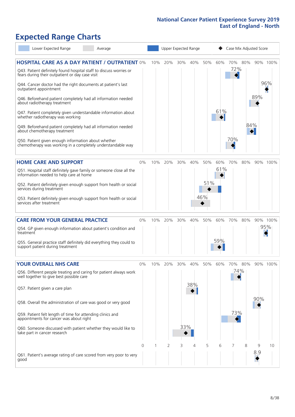# **Expected Range Charts**

|           | Lower Expected Range                                                                                                  | Average                                                             |       |     |         |     | Upper Expected Range |     |     | Case Mix Adjusted Score |     |     |          |
|-----------|-----------------------------------------------------------------------------------------------------------------------|---------------------------------------------------------------------|-------|-----|---------|-----|----------------------|-----|-----|-------------------------|-----|-----|----------|
|           |                                                                                                                       | <b>HOSPITAL CARE AS A DAY PATIENT / OUTPATIENT 0%</b>               |       | 10% | 20%     | 30% | 40%                  | 50% | 60% | 70%                     | 80% |     | 90% 100% |
|           | Q43. Patient definitely found hospital staff to discuss worries or<br>fears during their outpatient or day case visit |                                                                     |       |     |         |     |                      |     |     | 72%                     |     |     |          |
|           | Q44. Cancer doctor had the right documents at patient's last<br>outpatient appointment                                |                                                                     |       |     |         |     |                      |     |     |                         |     |     | 96%      |
|           | Q46. Beforehand patient completely had all information needed<br>about radiotherapy treatment                         |                                                                     |       |     |         |     |                      |     |     |                         |     | 89% |          |
|           | Q47. Patient completely given understandable information about<br>whether radiotherapy was working                    |                                                                     |       |     |         |     |                      |     | 61% |                         |     |     |          |
|           | Q49. Beforehand patient completely had all information needed<br>about chemotherapy treatment                         |                                                                     |       |     |         |     |                      |     |     |                         | 84% |     |          |
|           | Q50. Patient given enough information about whether<br>chemotherapy was working in a completely understandable way    |                                                                     |       |     |         |     |                      |     |     | 70%                     |     |     |          |
|           | <b>HOME CARE AND SUPPORT</b>                                                                                          |                                                                     | 0%    | 10% | 20%     | 30% | 40%                  | 50% | 60% | 70%                     | 80% |     | 90% 100% |
|           | Q51. Hospital staff definitely gave family or someone close all the<br>information needed to help care at home        |                                                                     |       |     |         |     |                      |     | 61% |                         |     |     |          |
|           | services during treatment                                                                                             | Q52. Patient definitely given enough support from health or social  |       |     |         |     |                      | 51% |     |                         |     |     |          |
|           | services after treatment                                                                                              | Q53. Patient definitely given enough support from health or social  |       |     |         |     |                      | 46% |     |                         |     |     |          |
|           | <b>CARE FROM YOUR GENERAL PRACTICE</b>                                                                                |                                                                     | $0\%$ |     | 10% 20% | 30% | 40%                  | 50% | 60% | 70%                     | 80% |     | 90% 100% |
| treatment | Q54. GP given enough information about patient's condition and                                                        |                                                                     |       |     |         |     |                      |     |     |                         |     |     | 95%      |
|           | Q55. General practice staff definitely did everything they could to<br>support patient during treatment               |                                                                     |       |     |         |     |                      |     | 59% |                         |     |     |          |
|           | <b>YOUR OVERALL NHS CARE</b>                                                                                          |                                                                     | 0%    | 10% | 20%     | 30% | 40%                  | 50% | 60% | 70%                     | 80% |     | 90% 100% |
|           | Q56. Different people treating and caring for patient always work<br>well together to give best possible care         |                                                                     |       |     |         |     |                      |     |     | 74%                     |     |     |          |
|           |                                                                                                                       |                                                                     |       |     |         |     | 38%                  |     |     |                         |     |     |          |
|           | Q57. Patient given a care plan                                                                                        |                                                                     |       |     |         |     |                      |     |     |                         |     |     |          |
|           | Q58. Overall the administration of care was good or very good                                                         |                                                                     |       |     |         |     |                      |     |     |                         |     | 90% |          |
|           | Q59. Patient felt length of time for attending clinics and<br>appointments for cancer was about right                 |                                                                     |       |     |         |     |                      |     |     | 73%<br>$\triangleright$ |     |     |          |
|           | Q60. Someone discussed with patient whether they would like to<br>take part in cancer research                        |                                                                     |       |     |         | 33% |                      |     |     |                         |     |     |          |
|           |                                                                                                                       |                                                                     | 0     |     | 2       | 3   | 4                    | 5   | 6   |                         | 8   | 9   | 10       |
| good      |                                                                                                                       | Q61. Patient's average rating of care scored from very poor to very |       |     |         |     |                      |     |     |                         |     | 8.9 |          |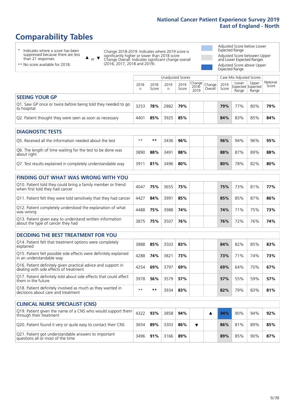# **Comparability Tables**

\* Indicates where a score has been suppressed because there are less than 21 responses.

\*\* No score available for 2018.

 $\triangle$  or  $\nabla$ 

Change 2018-2019: Indicates where 2019 score is significantly higher or lower than 2018 score Change Overall: Indicates significant change overall (2016, 2017, 2018 and 2019).

Adjusted Score below Lower Expected Range Adjusted Score between Upper and Lower Expected Ranges Adjusted Score above Upper Expected Range

|                                                                             |           | Case Mix Adjusted Scores<br>Unadjusted Scores |            |               |                                                  |  |               |                                     |                |                   |
|-----------------------------------------------------------------------------|-----------|-----------------------------------------------|------------|---------------|--------------------------------------------------|--|---------------|-------------------------------------|----------------|-------------------|
|                                                                             | 2018<br>n | 2018<br>Score                                 | 2019<br>n. | 2019<br>Score | Change<br>2018-<br>2010 Overall<br>2018-<br>2019 |  | 2019<br>Score | Lower<br>Expected Expected<br>Range | Upper<br>Range | National<br>Score |
| <b>SEEING YOUR GP</b>                                                       |           |                                               |            |               |                                                  |  |               |                                     |                |                   |
| Q1. Saw GP once or twice before being told they needed to go<br>to hospital | 3253      | 78%                                           | 2882       | 79%           |                                                  |  | 79%           | 77%                                 | 80%            | 79%               |
| Q2. Patient thought they were seen as soon as necessary                     | 4401      | 85%                                           | 3925       | 85%           |                                                  |  | 84%           | 83%                                 | 85%            | 84%               |

| <b>DIAGNOSTIC TESTS</b>                                                   |       |     |      |     |  |     |     |     |     |
|---------------------------------------------------------------------------|-------|-----|------|-----|--|-----|-----|-----|-----|
| O5. Received all the information needed about the test                    | $***$ | **  | 3436 | 96% |  | 96% | 94% | 96% | 95% |
| Q6. The length of time waiting for the test to be done was<br>about right | 3890  | 88% | 3491 | 88% |  | 88% | 87% | 89% | 88% |
| Q7. Test results explained in completely understandable way               | 391'  | 81% | 3496 | 80% |  | 80% | 78% | 82% | 80% |

| <b>FINDING OUT WHAT WAS WRONG WITH YOU</b>                                                      |      |     |      |     |  |     |     |     |     |
|-------------------------------------------------------------------------------------------------|------|-----|------|-----|--|-----|-----|-----|-----|
| Q10. Patient told they could bring a family member or friend<br>when first told they had cancer | 4047 | 75% | 3655 | 75% |  | 75% | 73% | 81% | 77% |
| Q11. Patient felt they were told sensitively that they had cancer                               | 4427 | 84% | 3991 | 85% |  | 85% | 85% | 87% | 86% |
| Q12. Patient completely understood the explanation of what<br>was wrong                         | 4488 | 75% | 3988 | 74% |  | 74% | 71% | 75% | 73% |
| Q13. Patient given easy to understand written information<br>about the type of cancer they had  | 3875 | 75% | 3507 | 76% |  | 76% | 72% | 76% | 74% |

| <b>DECIDING THE BEST TREATMENT FOR YOU</b>                                                              |      |     |      |     |     |     |     |     |
|---------------------------------------------------------------------------------------------------------|------|-----|------|-----|-----|-----|-----|-----|
| Q14. Patient felt that treatment options were completely<br>explained                                   | 3888 | 85% | 3503 | 83% | 84% | 82% | 85% | 83% |
| Q15. Patient felt possible side effects were definitely explained<br>in an understandable way           | 4288 | 74% | 3821 | 73% | 73% | 71% | 74% | 73% |
| Q16. Patient definitely given practical advice and support in<br>dealing with side effects of treatment | 4254 | 69% | 3797 | 69% | 69% | 64% | 70% | 67% |
| Q17. Patient definitely told about side effects that could affect<br>them in the future                 | 3978 | 56% | 3579 | 57% | 57% | 55% | 59% | 57% |
| Q18. Patient definitely involved as much as they wanted in<br>decisions about care and treatment        | $**$ | **  | 3934 | 83% | 82% | 79% | 83% | 81% |

| <b>CLINICAL NURSE SPECIALIST (CNS)</b>                                                                          |      |     |      |     |  |     |     |     |     |
|-----------------------------------------------------------------------------------------------------------------|------|-----|------|-----|--|-----|-----|-----|-----|
| Q19. Patient given the name of a CNS who would support them $\vert$ 4322 $\vert$ 93%<br>through their treatment |      |     | 3858 | 94% |  | 94% | 90% | 94% | 92% |
| Q20. Patient found it very or quite easy to contact their CNS                                                   | 3654 | 89% | 3303 | 86% |  | 86% | 81% | 89% | 85% |
| Q21. Patient got understandable answers to important<br>questions all or most of the time                       | 3496 | 91% | 3166 | 89% |  | 89% | 85% | 90% | 87% |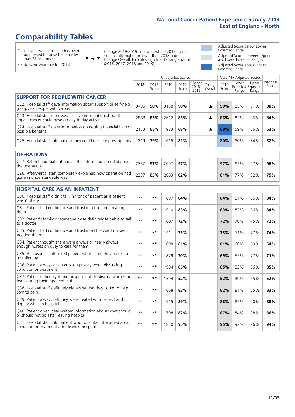# **Comparability Tables**

\* Indicates where a score has been suppressed because there are less than 21 responses.

\*\* No score available for 2018.

 $\triangle$  or  $\nabla$ 

Change 2018-2019: Indicates where 2019 score is significantly higher or lower than 2018 score Change Overall: Indicates significant change overall (2016, 2017, 2018 and 2019).

Adjusted Score below Lower Expected Range Adjusted Score between Upper and Lower Expected Ranges Adjusted Score above Upper Expected Range

|                                                                                                                   |           |               | <b>Unadjusted Scores</b> |               |                         |                   |               | Case Mix Adjusted Scores |                                     |                   |
|-------------------------------------------------------------------------------------------------------------------|-----------|---------------|--------------------------|---------------|-------------------------|-------------------|---------------|--------------------------|-------------------------------------|-------------------|
|                                                                                                                   | 2018<br>n | 2018<br>Score | 2019<br>n.               | 2019<br>Score | Change<br>2018-<br>2019 | Change<br>Overall | 2019<br>Score | Lower<br>Range           | Upper<br>Expected Expected<br>Range | National<br>Score |
| <b>SUPPORT FOR PEOPLE WITH CANCER</b>                                                                             |           |               |                          |               |                         |                   |               |                          |                                     |                   |
| Q22. Hospital staff gave information about support or self-help<br>groups for people with cancer                  | 3495      | 90%           | 3158                     | 90%           |                         | ▲                 | 90%           | 85%                      | 91%                                 | 88%               |
| Q23. Hospital staff discussed or gave information about the<br>impact cancer could have on day to day activities  | 2888      | 85%           | 2612                     | 85%           |                         | ▲                 | 86%           | 82%                      | 86%                                 | 84%               |
| Q24. Hospital staff gave information on getting financial help or<br>possible benefits                            | 2133      | 65%           | 1983                     | 68%           |                         | ▲                 | 68%           | 59%                      | 66%                                 | 63%               |
| Q25. Hospital staff told patient they could get free prescriptions                                                | 1819      | 79%           | 1615                     | 81%           |                         |                   | 80%           | 80%                      | 84%                                 | 82%               |
| <b>OPERATIONS</b>                                                                                                 |           |               |                          |               |                         |                   |               |                          |                                     |                   |
| Q27. Beforehand, patient had all the information needed about<br>the operation                                    | 2357      | 97%           | 2097                     | 97%           |                         |                   | 97%           | 95%                      | 97%                                 | 96%               |
| Q28. Afterwards, staff completely explained how operation had<br>gone in understandable way                       | 2337      | 83%           | 2083                     | 82%           |                         |                   | 81%           | 77%                      | 82%                                 | 79%               |
| <b>HOSPITAL CARE AS AN INPATIENT</b>                                                                              |           |               |                          |               |                         |                   |               |                          |                                     |                   |
| Q30. Hospital staff didn't talk in front of patient as if patient<br>wasn't there                                 | $**$      | $***$         | 1897                     | 84%           |                         |                   | 84%           | 81%                      | 86%                                 | 84%               |
| Q31. Patient had confidence and trust in all doctors treating<br>them                                             | $* *$     | $***$         | 1910                     | 83%           |                         |                   | 83%           | 82%                      | 86%                                 | 84%               |
| Q32. Patient's family or someone close definitely felt able to talk<br>to a doctor                                | $* *$     | $***$         | 1607                     | 72%           |                         |                   | 72%           | 70%                      | 75%                                 | 72%               |
| Q33. Patient had confidence and trust in all the ward nurses<br>treating them                                     | $* *$     | $***$         | 1911                     | 73%           |                         |                   | 73%           | 71%                      | 77%                                 | 74%               |
| Q34. Patient thought there were always or nearly always<br>enough nurses on duty to care for them                 | $**$      | $***$         | 1898                     | 61%           |                         |                   | 61%           | 60%                      | 69%                                 | 64%               |
| Q35. All hospital staff asked patient what name they prefer to<br>be called by                                    | $**$      | $***$         | 1879                     | 70%           |                         |                   | 69%           | 65%                      | 77%                                 | 71%               |
| Q36. Patient always given enough privacy when discussing<br>condition or treatment                                | $* *$     | $***$         | 1904                     | 85%           |                         |                   | 85%           | 83%                      | 86%                                 | 85%               |
| Q37. Patient definitely found hospital staff to discuss worries or<br>fears during their inpatient visit          | $* *$     | $***$         | 1394                     | 52%           |                         |                   | 52%           | 49%                      | 55%                                 | 52%               |
| Q38. Hospital staff definitely did everything they could to help<br>control pain                                  | $* *$     | $***$         | 1668                     | 83%           |                         |                   | 82%           | 81%                      | 85%                                 | 83%               |
| Q39. Patient always felt they were treated with respect and<br>dignity while in hospital                          | $***$     | $***$         | 1915                     | 89%           |                         |                   | 88%           | 85%                      | 90%                                 | 88%               |
| Q40. Patient given clear written information about what should<br>or should not do after leaving hospital         | $* *$     | $***$         | 1798                     | 87%           |                         |                   | 87%           | 84%                      | 88%                                 | 86%               |
| Q41. Hospital staff told patient who to contact if worried about<br>condition or treatment after leaving hospital | $**$      | $***$         | 1830                     | 95%           |                         |                   | 95%           | 92%                      | 96%                                 | 94%               |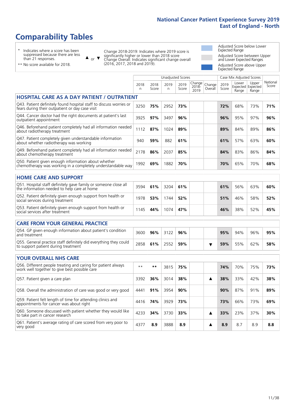Unadjusted Scores **Case Mix Adjusted Scores** 

# **Comparability Tables**

\* Indicates where a score has been suppressed because there are less than 21 responses.

 $\triangle$  or  $\nabla$ 

Change 2018-2019: Indicates where 2019 score is significantly higher or lower than 2018 score Change Overall: Indicates significant change overall (2016, 2017, 2018 and 2019).

Adjusted Score below Lower Expected Range Adjusted Score between Upper and Lower Expected Ranges Adjusted Score above Upper Expected Range

|  | ** No score available for 2018. |  |  |
|--|---------------------------------|--|--|
|  |                                 |  |  |

|                                                                                                                       | 2018<br>n | 2018<br>Score | 2019<br>n. | 2019<br>Score | Change<br>$2018 -$<br>2019 | Change<br>Overall       | 2019<br>Score | Lower<br>Range | Upper<br>Expected Expected<br>Range | National<br>Score |
|-----------------------------------------------------------------------------------------------------------------------|-----------|---------------|------------|---------------|----------------------------|-------------------------|---------------|----------------|-------------------------------------|-------------------|
| <b>HOSPITAL CARE AS A DAY PATIENT / OUTPATIENT</b>                                                                    |           |               |            |               |                            |                         |               |                |                                     |                   |
| Q43. Patient definitely found hospital staff to discuss worries or<br>fears during their outpatient or day case visit | 3250      | 75%           | 2952       | 73%           |                            |                         | 72%           | 68%            | 73%                                 | 71%               |
| Q44. Cancer doctor had the right documents at patient's last<br>outpatient appointment                                | 3925      | 97%           | 3497       | 96%           |                            |                         | 96%           | 95%            | 97%                                 | 96%               |
| Q46. Beforehand patient completely had all information needed<br>about radiotherapy treatment                         | 1112      | 87%           | 1024       | 89%           |                            |                         | 89%           | 84%            | 89%                                 | 86%               |
| Q47. Patient completely given understandable information<br>about whether radiotherapy was working                    | 940       | 59%           | 882        | 61%           |                            |                         | 61%           | 57%            | 63%                                 | 60%               |
| Q49. Beforehand patient completely had all information needed<br>about chemotherapy treatment                         | 2178      | 86%           | 2037       | 85%           |                            |                         | 84%           | 83%            | 86%                                 | 84%               |
| Q50. Patient given enough information about whether<br>chemotherapy was working in a completely understandable way    | 1992      | 69%           | 1882       | 70%           |                            |                         | 70%           | 65%            | 70%                                 | 68%               |
| <b>HOME CARE AND SUPPORT</b>                                                                                          |           |               |            |               |                            |                         |               |                |                                     |                   |
| Q51. Hospital staff definitely gave family or someone close all<br>the information needed to help care at home        | 3594      | 61%           | 3204       | 61%           |                            |                         | 61%           | 56%            | 63%                                 | 60%               |
| Q52. Patient definitely given enough support from health or<br>social services during treatment                       | 1978      | 53%           | 1744       | 52%           |                            |                         | 51%           | 46%            | 58%                                 | 52%               |
| Q53. Patient definitely given enough support from health or<br>social services after treatment                        | 1145      | 44%           | 1074       | 47%           |                            |                         | 46%           | 38%            | 52%                                 | 45%               |
| <b>CARE FROM YOUR GENERAL PRACTICE</b>                                                                                |           |               |            |               |                            |                         |               |                |                                     |                   |
| Q54. GP given enough information about patient's condition<br>and treatment                                           | 3600      | 96%           | 3122       | 96%           |                            |                         | 95%           | 94%            | 96%                                 | 95%               |
| Q55. General practice staff definitely did everything they could<br>to support patient during treatment               | 2858      | 61%           | 2552       | 59%           |                            | $\overline{\textbf{v}}$ | 59%           | 55%            | 62%                                 | 58%               |
| <b>YOUR OVERALL NHS CARE</b>                                                                                          |           |               |            |               |                            |                         |               |                |                                     |                   |
| Q56. Different people treating and caring for patient always<br>work well together to give best possible care         | $**$      | $***$         | 3815       | 75%           |                            |                         | 74%           | 70%            | 75%                                 | 73%               |
| Q57. Patient given a care plan                                                                                        | 3392      | 36%           | 3014       | 38%           |                            | ▲                       | 38%           | 33%            | 42%                                 | 38%               |
| Q58. Overall the administration of care was good or very good                                                         | 4441      | 91%           | 3954       | 90%           |                            |                         | 90%           | 87%            | 91%                                 | 89%               |
| Q59. Patient felt length of time for attending clinics and<br>appointments for cancer was about right                 | 4416      | 74%           | 3929       | 73%           |                            |                         | 73%           | 66%            | 73%                                 | 69%               |
| Q60. Someone discussed with patient whether they would like<br>to take part in cancer research                        | 4233      | 34%           | 3730       | 33%           |                            | ▲                       | 33%           | 23%            | 37%                                 | 30%               |
| Q61. Patient's average rating of care scored from very poor to<br>very good                                           | 4377      | 8.9           | 3888       | 8.9           |                            | ▲                       | 8.9           | 8.7            | 8.9                                 | 8.8               |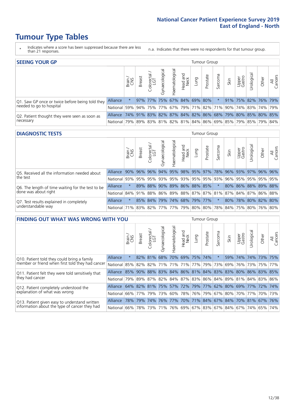# **Tumour Type Tables**

- \* Indicates where a score has been suppressed because there are less than 21 responses.
- n.a. Indicates that there were no respondents for that tumour group.

| <b>SEEING YOUR GP</b>                           |                                                                  |              |                                                         |                             |                |                |                  |             | Tumour Group |         |                                                     |                 |                     |       |                |
|-------------------------------------------------|------------------------------------------------------------------|--------------|---------------------------------------------------------|-----------------------------|----------------|----------------|------------------|-------------|--------------|---------|-----------------------------------------------------|-----------------|---------------------|-------|----------------|
|                                                 |                                                                  | Brain<br>CNS | <b>Breast</b>                                           | Colorectal<br>LGT           | Gynaecological | Haematological | Head and<br>Neck | <b>GunT</b> | Prostate     | Sarcoma | Skin                                                | Upper<br>Gastro | Urological          | Other | All<br>Cancers |
| Q1. Saw GP once or twice before being told they | Alliance                                                         |              |                                                         | 97% 77% 75% 67% 84% 69% 80% |                |                |                  |             |              |         |                                                     |                 | 91% 75% 82% 76% 79% |       |                |
| needed to go to hospital                        | National 59%                                                     |              |                                                         |                             |                |                |                  |             |              |         | 94% 75% 77% 67% 79% 71% 82% 71% 90% 74% 83% 74% 79% |                 |                     |       |                |
| Q2. Patient thought they were seen as soon as   | Alliance                                                         |              | 74% 91% 83% 82% 87% 84% 82% 86% 68% 79% 80% 85% 80% 85% |                             |                |                |                  |             |              |         |                                                     |                 |                     |       |                |
| necessary                                       | National 79% 89% 83% 81% 82% 81% 84% 86% 69% 85% 79% 85% 79% 84% |              |                                                         |                             |                |                |                  |             |              |         |                                                     |                 |                     |       |                |

#### **DIAGNOSTIC TESTS** Tumour Group

|                                                   |                                                                  | Brain  | <b>Breast</b> | Colorectal<br>LGT | त्त<br>Gynaecologic | Haematological | Head and<br>Neck | Lung | Prostate                | Sarcoma | Skin     | Upper<br>Gastro | Jrological          | Other   | All<br>Cancers |
|---------------------------------------------------|------------------------------------------------------------------|--------|---------------|-------------------|---------------------|----------------|------------------|------|-------------------------|---------|----------|-----------------|---------------------|---------|----------------|
| Q5. Received all the information needed about     | Alliance                                                         | $90\%$ | $96\%$        | $ 96\% $          | 94%                 |                |                  |      | 95% 98% 95% 97% 78%     |         | $ 96\% $ | 93%             |                     | 97% 96% | <u>96%</u>     |
| the test                                          | National                                                         | 93%    | 95%           | 95%               |                     |                |                  |      | 93% 95% 93% 95% 95% 93% |         | 96%      |                 | 95% 95% 95% 95%     |         |                |
| Q6. The length of time waiting for the test to be | Alliance                                                         |        | 89%           | 88%               | 90%                 |                |                  |      | 89% 86% 88% 85%         |         |          |                 | 80% 86% 88% 89% 88% |         |                |
| done was about right                              | National 84% 91% 88% 86% 89% 88% 87% 87% 81% 87% 84% 87% 86% 88% |        |               |                   |                     |                |                  |      |                         |         |          |                 |                     |         |                |
| Q7. Test results explained in completely          | Alliance                                                         |        |               | 85% 84%           |                     |                |                  |      | 79% 74% 68% 79% 77%     | $\star$ | 80%      |                 | 78% 80% 82% 80%     |         |                |
| understandable way                                | National 71% 83% 82% 77% 77% 79% 80% 80% 78% 84% 75% 80% 76% 80% |        |               |                   |                     |                |                  |      |                         |         |          |                 |                     |         |                |

| <b>FINDING OUT WHAT WAS WRONG WITH YOU</b>        |                                                                  |         |               |                       |                |                 |                  |      | <b>Tumour Group</b>                                             |         |      |                 |                             |       |                |
|---------------------------------------------------|------------------------------------------------------------------|---------|---------------|-----------------------|----------------|-----------------|------------------|------|-----------------------------------------------------------------|---------|------|-----------------|-----------------------------|-------|----------------|
|                                                   |                                                                  | Brain   | <b>Breast</b> | olorectal<br>LGT<br>Ü | Gynaecological | Haematological  | Head and<br>Neck | Lung | Prostate                                                        | Sarcoma | Skin | Upper<br>Gastro | Urological                  | Other | All<br>Cancers |
| Q10. Patient told they could bring a family       | Alliance                                                         | $\star$ |               | 82% 81%               | 68%            | 70% 69% 75% 74% |                  |      |                                                                 | $\star$ | 59%  |                 | 74% 74% 73%                 |       | 75%            |
| member or friend when first told they had cancer  | National 85%                                                     |         |               |                       |                |                 |                  |      | 82%   82%   71%   71%   71%   77%   79%                         | 73%     |      |                 | 69%   76%   73%   75%   77% |       |                |
| Q11. Patient felt they were told sensitively that | Alliance                                                         | 85%     |               |                       |                |                 |                  |      | 90% 88% 83% 84% 86% 81% 84% 83% 83% 80% 86% 83% 85%             |         |      |                 |                             |       |                |
| they had cancer                                   | National 79% 89% 87% 82% 84% 87% 83% 86% 84% 89% 81% 84% 83% 86% |         |               |                       |                |                 |                  |      |                                                                 |         |      |                 |                             |       |                |
| Q12. Patient completely understood the            | Alliance                                                         | 64%     | 82% 81%       |                       |                |                 |                  |      | 25% 57% 72% 79% 77% 62% 80% 69% 77% 72%                         |         |      |                 |                             |       | 74%            |
| explanation of what was wrong                     | National l                                                       |         | 66% 77% 79%   |                       |                |                 |                  |      | 73%   60%   78%   76%   79%   67%   80%   70%   77%   70%   73% |         |      |                 |                             |       |                |
| Q13. Patient given easy to understand written     | <b>Alliance</b>                                                  | 78%     | 79%           | 74%                   | 76%            |                 |                  |      | 77% 70% 71% 84% 67% 84%                                         |         |      |                 | 70% 81% 67%                 |       | 76%            |
| information about the type of cancer they had     | National                                                         | $66\%$  |               | 78% 73%               |                |                 |                  |      | 71% 76% 69% 67% 83% 67% 84% 67% 74% 65% 74%                     |         |      |                 |                             |       |                |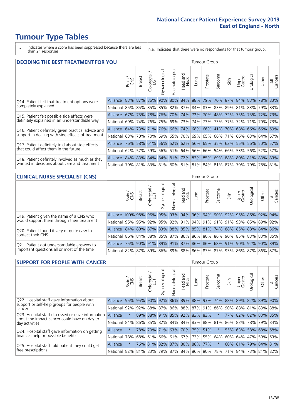# **Tumour Type Tables**

- \* Indicates where a score has been suppressed because there are less than 21 responses.
- n.a. Indicates that there were no respondents for that tumour group.

| <b>DECIDING THE BEST TREATMENT FOR YOU</b>         |                                                                  |       |                 |                             |                |                |                  |                             | <b>Tumour Group</b> |         |                                                         |                 |                 |       |                |
|----------------------------------------------------|------------------------------------------------------------------|-------|-----------------|-----------------------------|----------------|----------------|------------------|-----------------------------|---------------------|---------|---------------------------------------------------------|-----------------|-----------------|-------|----------------|
|                                                    |                                                                  | Brain | <b>Breast</b>   | blorectal.<br>LGT<br>$\cup$ | Gynaecological | Haematological | Head and<br>Neck | Lung                        | Prostate            | Sarcoma | Skin                                                    | Upper<br>Gastro | Jrologica       | Other | All<br>Cancers |
| Q14. Patient felt that treatment options were      | <b>Alliance</b>                                                  |       | 83% 87% 86% 90% |                             |                |                |                  | 80% 84% 88% 79%             |                     |         | 70% 87% 84% 83%                                         |                 |                 | 78%   | 83%            |
| completely explained                               | National 85% 85% 85% 85% 82% 87% 84% 83% 83% 89% 81% 83% 79% 83% |       |                 |                             |                |                |                  |                             |                     |         |                                                         |                 |                 |       |                |
| Q15. Patient felt possible side effects were       | Alliance                                                         | 67%   | 75%             | 78%                         | 76%            |                |                  | 70%   74%   72%   70%   48% |                     |         | 72%                                                     |                 | 73%   73%   72% |       | 73%            |
| definitely explained in an understandable way      | National l                                                       | 69%   | 74%             | 76%                         |                |                |                  | 75% 69% 73% 74% 73%         |                     |         | 73% 77%                                                 |                 | 72%   71%   70% |       | 73%            |
| Q16. Patient definitely given practical advice and | Alliance                                                         |       |                 |                             |                |                |                  |                             |                     |         | 64% 73% 71% 76% 66% 74% 68% 66% 41% 70% 68% 66% 66% 69% |                 |                 |       |                |
| support in dealing with side effects of treatment  | National 63%                                                     |       | 70%             | 70%                         |                |                |                  |                             |                     |         | 69% 65% 70% 69% 65% 66% 71%                             |                 | 66%   63%   64% |       | 67%            |
| Q17. Patient definitely told about side effects    | Alliance 76% 58% 61% 56% 52% 62% 56% 65% 35% 62% 55% 56% 50% 57% |       |                 |                             |                |                |                  |                             |                     |         |                                                         |                 |                 |       |                |
| that could affect them in the future               | National 62%                                                     |       |                 |                             |                |                |                  |                             |                     |         | 57% 59% 56% 51% 64% 56% 66% 54% 66% 53% 56% 52%         |                 |                 |       | 57%            |
| Q18. Patient definitely involved as much as they   | Alliance 84% 83% 84% 84% 81% 72% 82% 85% 69% 88% 80% 81% 83% 83% |       |                 |                             |                |                |                  |                             |                     |         |                                                         |                 |                 |       |                |
| wanted in decisions about care and treatment       | National 79% 81% 83% 81% 80% 81% 81% 84% 81% 87% 79% 79% 78% 81% |       |                 |                             |                |                |                  |                             |                     |         |                                                         |                 |                 |       |                |

### **CLINICAL NURSE SPECIALIST (CNS)** Tumour Group

|                                             |                                                                  | Brain<br>CNS | <b>Breast</b>   | olorectal.<br>LGT<br>Ō | $\overline{\sigma}$<br>aecologic<br>ĞŘ | ᠊ᢛ<br>Haematologi | Head and<br>Neck            | Lung | Prostate | Sarcoma | Skin | Upper<br>Gastro | σ<br>rologica | Other | All<br>Cancers |
|---------------------------------------------|------------------------------------------------------------------|--------------|-----------------|------------------------|----------------------------------------|-------------------|-----------------------------|------|----------|---------|------|-----------------|---------------|-------|----------------|
| Q19. Patient given the name of a CNS who    | Alliance 100% 98%                                                |              |                 |                        | 96% 95%                                | 93%               | 94% 96% 94% 90%             |      |          |         |      | 92% 95%         | 86%           | 92%   | 94%            |
| would support them through their treatment  | National 95% 95% 92% 95% 92% 91% 94% 91% 91% 91% 93% 85% 89%     |              |                 |                        |                                        |                   |                             |      |          |         |      |                 |               |       | 92%            |
| Q20. Patient found it very or quite easy to | Alliance 84% 89% 87% 83% 88% 85% 85% 81% 74% 88% 85% 88% 84% 86% |              |                 |                        |                                        |                   |                             |      |          |         |      |                 |               |       |                |
| contact their CNS                           | National 86% 84% 88% 85% 87% 86% 86% 80% 86% 90% 85% 83% 83% 85% |              |                 |                        |                                        |                   |                             |      |          |         |      |                 |               |       |                |
| Q21. Patient got understandable answers to  | Alliance                                                         |              | 75% 90% 91% 89% |                        |                                        |                   | 91% 87% 86% 86% 68% 91% 90% |      |          |         |      |                 | 92%           | 90%   | 89%            |
| important questions all or most of the time | National 82% 87% 89% 86% 89% 88% 86% 87% 87% 93% 86% 87% 86% 86% |              |                 |                        |                                        |                   |                             |      |          |         |      |                 |               |       | 87%            |

| <b>SUPPORT FOR PEOPLE WITH CANCER</b>                                                             |                 |         |                                 |                            |                |                             |                         |      | <b>Tumour Group</b> |          |      |                         |                 |         |                |
|---------------------------------------------------------------------------------------------------|-----------------|---------|---------------------------------|----------------------------|----------------|-----------------------------|-------------------------|------|---------------------|----------|------|-------------------------|-----------------|---------|----------------|
|                                                                                                   |                 | Brain   | <b>Breast</b>                   | ∼<br>olorectal<br>LGT<br>Ũ | Gynaecological | Haematological              | ead and<br>Neck<br>Head | Lung | Prostate            | Sarcoma  | Skin | Upper<br>Gastro         | Jrologica       | Other   | All<br>Cancers |
| Q22. Hospital staff gave information about<br>support or self-help groups for people with         | Alliance        | 95%     | 95%                             | 90%                        | 92%            |                             |                         |      | 86% 89% 88% 93%     | 74%      | 88%  | 89%                     | 82% 89%         |         | 90%            |
| cancer                                                                                            | National        | 92%     | 92%                             | 88%                        | 87%            |                             |                         |      | 86% 88% 87% 91%     | 86%      | 90%  |                         | 88% 81% 83% 88% |         |                |
| Q23. Hospital staff discussed or gave information<br>about the impact cancer could have on day to | <b>Alliance</b> | $\star$ | 89%                             | 88%                        |                | 91% 85% 92% 83% 83%         |                         |      |                     | $\star$  |      | 77% 82% 82% 83% 85%     |                 |         |                |
| day activities                                                                                    | National        | 84%     | 86%                             |                            |                | 85% 82% 84% 84% 83% 88% 81% |                         |      |                     |          |      | 86% 83% 78%             |                 | 79% 84% |                |
| Q24. Hospital staff gave information on getting                                                   | Alliance        | $\star$ | 78%                             | 70%                        |                | 71% 63% 70% 75%             |                         |      | 51%                 |          |      | 55% 63% 58% 68% 68%     |                 |         |                |
| financial help or possible benefits                                                               | National        | 78%     |                                 | 68% 61%                    |                | 66% 61% 67% 72% 55%         |                         |      |                     | 64%      | 60%  |                         | 64% 47%         | 59% 63% |                |
| Q25. Hospital staff told patient they could get                                                   | Alliance        | $\star$ |                                 | 76% 81%                    |                | 82% 87% 80% 88% 77%         |                         |      |                     | $^\star$ |      | 60% 81% 79% 84% 81%     |                 |         |                |
| free prescriptions                                                                                | National        |         | 82% 81% 83% 79% 87% 84% 86% 80% |                            |                |                             |                         |      |                     |          |      | 78% 71% 84% 73% 81% 82% |                 |         |                |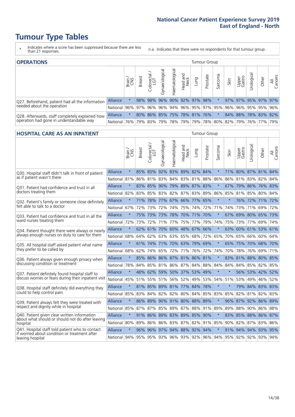# **Tumour Type Tables**

- \* Indicates where a score has been suppressed because there are less than 21 responses.
- n.a. Indicates that there were no respondents for that tumour group.

| <b>OPERATIONS</b><br>Tumour Group                |                                                                  |       |               |                   |                                     |                     |                  |      |                                         |         |      |                 |            |                     |                |
|--------------------------------------------------|------------------------------------------------------------------|-------|---------------|-------------------|-------------------------------------|---------------------|------------------|------|-----------------------------------------|---------|------|-----------------|------------|---------------------|----------------|
|                                                  |                                                                  | Brain | <b>Breast</b> | Colorectal<br>LGT | $\overline{\sigma}$<br>Gynaecologic | Haematological      | Head and<br>Neck | Lung | Prostate                                | Sarcoma | Skin | Upper<br>Gastro | Jrological | Other               | All<br>Cancers |
| Q27. Beforehand, patient had all the information | <b>Alliance</b>                                                  |       | 98%           | 98%               |                                     | 96% 90% 92% 97% 98% |                  |      |                                         |         |      |                 |            | 97% 97% 95% 97%     | 97%            |
| needed about the operation                       | National 96% 97% 96% 96% 94% 96% 95% 97% 95% 96% 96% 95% 95% 96% |       |               |                   |                                     |                     |                  |      |                                         |         |      |                 |            |                     |                |
| Q28. Afterwards, staff completely explained how  | <b>Alliance</b>                                                  |       |               |                   |                                     |                     |                  |      | 80% 86% 85% 75% 78% 81% 76%             |         |      |                 |            | 84% 88% 78% 83% 82% |                |
| operation had gone in understandable way         | National 76%                                                     |       |               |                   |                                     |                     |                  |      | 79% 83% 79% 78% 79% 79% 78% 80% 82% 79% |         |      |                 |            | 76%   77%           | 79%            |

#### **HOSPITAL CARE AS AN INPATIENT** Tumour Group

|                                                                                                  |                                          | Brain   | Breast | $\overline{\phantom{0}}$<br>Colorectal /<br>LGT | Gynaecological | Haematological              | Head and<br>Neck | Lung            | Prostate | Sarcoma | Skin    | Upper<br>Gastro | Urological          | Other   | All<br>Cancers |
|--------------------------------------------------------------------------------------------------|------------------------------------------|---------|--------|-------------------------------------------------|----------------|-----------------------------|------------------|-----------------|----------|---------|---------|-----------------|---------------------|---------|----------------|
| Q30. Hospital staff didn't talk in front of patient                                              | Alliance                                 | $\star$ |        | 85% 83%                                         | 92%            |                             |                  | 83% 89% 82% 84% |          | $\star$ |         |                 | 71% 80% 87% 81% 84% |         |                |
| as if patient wasn't there                                                                       | National                                 | 81%     | 86%    | 81%                                             | 83%            | 84%                         | 83%              | 81%             | 88%      | 86%     | 86%     | 81%             | 83%                 | 82%     | 84%            |
| 031. Patient had confidence and trust in all                                                     | Alliance                                 | $\star$ |        | 83% 85%                                         |                | 90% 79% 89% 87% 83%         |                  |                 |          | $\star$ | 67%     |                 | 79% 86% 76% 83%     |         |                |
| doctors treating them                                                                            | National                                 | 82%     |        | 83% 85%                                         |                | 83% 82% 87% 83% 89%         |                  |                 |          | 86%     | 85%     |                 | 81% 85%             | 80% 84% |                |
| Q32. Patient's family or someone close definitely                                                | Alliance                                 | $\star$ | 71%    | 78%                                             |                | 77% 67% 66% 77%             |                  |                 | 65%      | $\star$ | $\ast$  |                 | 76% 72% 71% 72%     |         |                |
| felt able to talk to a doctor                                                                    | National                                 | 67%     | 72%    | 73%                                             | 72%            | 74%                         |                  | 75% 74%         | 72%      | 71%     | 74%     |                 | 73% 71%             | 69%     | 72%            |
| Q33. Patient had confidence and trust in all the                                                 | Alliance                                 | $\star$ |        | 75% 73%                                         |                | 73% 78% 70% 71% 70%         |                  |                 |          | $\star$ | 67%     |                 | 69% 80% 65% 73%     |         |                |
| ward nurses treating them                                                                        | National                                 | 72%     | 73%    | 72%                                             |                | 71% 77% 75% 77%             |                  |                 | 79%      | 74%     |         |                 | 75% 73% 77%         | 69% 74% |                |
| Q34. Patient thought there were always or nearly                                                 | Alliance                                 | $\star$ |        | 62% 61%                                         | 70%            | 60% 48% 67%                 |                  |                 | 66%      | $\star$ | 63%     | 60%             | 61%                 | 53% 61% |                |
| always enough nurses on duty to care for them                                                    | National                                 | 68%     | 64%    |                                                 | 62% 63%        |                             |                  | 63% 65% 68%     | 72%      | 65%     | 70%     |                 | 65% 66%             | 60% 64% |                |
| Q35. All hospital staff asked patient what name                                                  | Alliance                                 | $\star$ |        |                                                 |                | 61% 74% 71% 70% 63% 79% 69% |                  |                 |          | $\star$ |         |                 | 65% 75% 70% 68% 70% |         |                |
| they prefer to be called by                                                                      | National                                 | 68%     | 62%    | 74%                                             |                | 65% 72%                     |                  | 71% 76% 72%     |          | 74%     | 70%     | 78%             | 76%                 | 69% 71% |                |
| Q36. Patient always given enough privacy when                                                    | Alliance                                 | $\star$ | 85%    | 86%                                             |                | 86% 87% 81% 86% 81%         |                  |                 |          | $\star$ | 83%     | 81%             | 88% 80% 85%         |         |                |
| discussing condition or treatment                                                                | National                                 | 78%     |        |                                                 |                | 84% 85% 81% 86% 87% 84% 88% |                  |                 |          | 84%     | 84%     |                 | 84% 85% 82% 85%     |         |                |
| Q37. Patient definitely found hospital staff to                                                  | <b>Alliance</b>                          | $\star$ | 48%    | 62%                                             |                | 59% 50% 37% 53%             |                  |                 | 49%      | $\star$ |         |                 | 56% 53% 42%         |         | 52%            |
| discuss worries or fears during their inpatient visit                                            | National                                 | 45%     |        |                                                 |                | 51% 55% 51% 56%             |                  | 52% 49%         | 53%      | 54%     | 51%     |                 | 53% 49%             | 46% 52% |                |
| Q38. Hospital staff definitely did everything they                                               | Alliance                                 | $\star$ |        |                                                 |                | 81% 85% 89% 81% 77% 84% 78% |                  |                 |          | $\star$ | $\star$ |                 | 79% 84% 83% 83%     |         |                |
| could to help control pain                                                                       | National                                 | 85%     | 83%    |                                                 |                | 84% 82% 82% 80% 84%         |                  |                 | 85%      | 83%     | 85%     |                 | 82% 81% 82% 83%     |         |                |
| Q39. Patient always felt they were treated with                                                  | <b>Alliance</b>                          | $\star$ |        |                                                 |                | 86% 89% 90% 91% 80% 88% 89% |                  |                 |          | $\star$ | $96\%$  | 87%             | 92% 86% 89%         |         |                |
| respect and dignity while in hospital                                                            | National                                 | 85%     | 87%    | 87%                                             | 85%            | 89%                         | 87%              | 88%             | 91%      | 89%     | 89%     | 88%             | 90%                 | 86%     | 88%            |
| Q40. Patient given clear written information<br>about what should or should not do after leaving | Alliance                                 | $\star$ |        |                                                 |                | 91% 86% 89% 83% 89% 85% 90% |                  |                 |          | $\star$ |         |                 | 83% 85% 88% 86% 87% |         |                |
| hospital                                                                                         | National                                 | 80%     | 89%    |                                                 |                | 86% 86% 83% 87% 82% 91%     |                  |                 |          | 85%     |         |                 | 90% 82% 87%         | 83% 86% |                |
| Q41. Hospital staff told patient who to contact<br>if worried about condition or treatment after | Alliance                                 | $\star$ | 96%    |                                                 |                | 96% 97% 94% 88% 92%         |                  |                 | 94%      | $\star$ |         |                 | 91% 94% 94% 93% 95% |         |                |
| leaving hospital                                                                                 | National 94% 95% 95% 93% 96% 93% 92% 96% |         |        |                                                 |                |                             |                  |                 |          | 94%     |         |                 | 95% 92% 92% 93% 94% |         |                |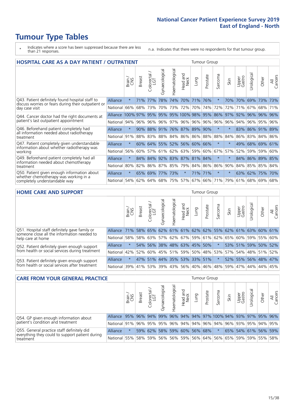# **Tumour Type Tables**

- \* Indicates where a score has been suppressed because there are less than 21 responses.
- n.a. Indicates that there were no respondents for that tumour group.

| <b>HOSPITAL CARE AS A DAY PATIENT / OUTPATIENT</b><br><b>Tumour Group</b>                              |                   |         |               |                         |                |                |                      |         |                     |                      |          |                 |             |             |                |
|--------------------------------------------------------------------------------------------------------|-------------------|---------|---------------|-------------------------|----------------|----------------|----------------------|---------|---------------------|----------------------|----------|-----------------|-------------|-------------|----------------|
|                                                                                                        |                   | Brain   | Breast        | olorectal /<br>LGT<br>Ũ | Gynaecological | Haematological | Head and<br>Neck     | Lung    | Prostate            | arcoma<br>$\sqrt{ }$ | Skin     | Upper<br>Gastro | Urological  | Other       | All<br>Cancers |
| Q43. Patient definitely found hospital staff to<br>discuss worries or fears during their outpatient or | Alliance          | $\star$ | 71%           | 77%                     | 78%            | 74%            | 70%                  | 71%     | 76%                 |                      | 70%      | 70%             |             | 69% 73%     | 73%            |
| day case visit                                                                                         | National 66%      |         | 68%           | 73%                     | 70%            | 73%            | 72%                  | 70%     | 74%                 | 72%                  | 72%      | 71%             | 67%         | 68%         | 71%            |
| Q44. Cancer doctor had the right documents at                                                          | Alliance 100% 97% |         |               |                         |                |                | 95% 95% 95% 100% 98% |         | 95%                 | 86%                  | 97%      |                 | 92% 96% 96% |             | 96%            |
| patient's last outpatient appointment                                                                  | National          | 94%     | 96%           | 96%                     | 96%            |                | 97% 96% 96%          |         | 96%                 | 96%                  | 96%      | 94%             | 96%         | 95%         | 96%            |
| Q46. Beforehand patient completely had                                                                 | Alliance          |         | 90%           | 88%                     | 91%            |                | 76% 87%              | 89%     | 90%                 |                      |          |                 | 83% 86%     | 91%         | 89%            |
| all information needed about radiotherapy<br>treatment                                                 | National          | 91%     | 88%           | 83%                     | 88%            |                | 84% 86%              | 86%     | 88%                 | 88%                  | 84%      | 86%             | 83%         | 84% 86%     |                |
| Q47. Patient completely given understandable                                                           | Alliance          | $\star$ | 60%           |                         |                |                | 64% 55% 52% 56%      | 60% 66% |                     | $\star$              |          |                 |             | 49% 68% 69% | 61%            |
| information about whether radiotherapy was<br>working                                                  | National          | 56%     | 60%           | 57%                     | 61%            |                | 62% 63%              |         | 59% 60%             | 67%                  | 57%      | 52%             | 59%         | 59%         | 60%            |
| Q49. Beforehand patient completely had all                                                             | Alliance          | $\star$ | 84%           | 84%                     | 92%            |                | 83% 87%              | 81% 84% |                     | $\star$              |          | 84%             | 86%         | 89%         | 85%            |
| information needed about chemotherapy<br>treatment                                                     | National          | 80%     | 82%           | 86%                     | 87%            | 85%            | 79%                  |         | 84% 86%             | 86%                  | 90%      | 84%             | 85%         | 85%         | 84%            |
| Q50. Patient given enough information about                                                            | Alliance          | $\star$ | 65%           | 69%                     | 77%            | 73%            | $\star$              |         | 71% 71%             | $\star$              |          | 63%             | 62%         | 75%         | 70%            |
| whether chemotherapy was working in a<br>completely understandable way                                 | National          | 54%     |               |                         | 62% 64% 68%    |                | 75% 57% 67% 66%      |         |                     | 71%                  | 79%      |                 |             | 61% 68% 69% | 68%            |
|                                                                                                        |                   |         |               |                         |                |                |                      |         |                     |                      |          |                 |             |             |                |
| <b>HOME CARE AND SUPPORT</b>                                                                           |                   |         |               |                         |                |                |                      |         | <b>Tumour Group</b> |                      |          |                 |             |             |                |
|                                                                                                        |                   | .⊆ కన   | ದ<br>$\sigma$ | $rac{1}{\sqrt{1}}$      | plogical       | ological       | land<br>ck           | ρq      | tate                | oma                  | $\equiv$ | out<br>ber      | gical       | èř          | $\frac{1}{2}$  |

|                                                                                              |                                          | Brain   | <b>Breast</b> | olorectal.<br>LGT<br>Ü | σ<br>Gynaecologic                                         | Haematologica | Head and<br>Neck | <b>Lung</b>         | Prostate | arcoma<br>vĀ | Skin    | Upper<br>Gastro | rological                                               | Other | All<br>Cancers |
|----------------------------------------------------------------------------------------------|------------------------------------------|---------|---------------|------------------------|-----------------------------------------------------------|---------------|------------------|---------------------|----------|--------------|---------|-----------------|---------------------------------------------------------|-------|----------------|
| Q51. Hospital staff definitely gave family or<br>someone close all the information needed to | <b>Alliance</b>                          | 71%     |               |                        |                                                           |               |                  |                     |          |              |         |                 | 58% 65% 62% 61% 61% 62% 62% 55% 62% 61% 63% 60% 61%     |       |                |
| help care at home                                                                            | National                                 |         |               |                        |                                                           |               |                  |                     |          |              |         |                 | 58% 58% 63% 57% 62% 67% 59% 61% 62% 65% 60% 59% 55% 60% |       |                |
| Q52. Patient definitely given enough support                                                 | Alliance                                 |         |               | 54% 56%                |                                                           |               |                  | 38% 48% 63% 45% 50% |          |              |         |                 | 53% 51% 59% 50% 52%                                     |       |                |
| from health or social services during treatment                                              | National                                 |         |               |                        | 42%   52%   60%   45%   51%   59%   50%   48%   53%   57% |               |                  |                     |          |              |         |                 | 54% 48% 51% 52%                                         |       |                |
| Q53. Patient definitely given enough support                                                 | Alliance                                 | $\star$ |               |                        | 47% 51% 44% 35% 53% 33% 51%                               |               |                  |                     |          | $\star$      |         |                 | 52% 55% 56% 48% 47%                                     |       |                |
| from health or social services after treatment                                               | National 39% 41% 53% 39% 43% 56% 40% 46% |         |               |                        |                                                           |               |                  |                     |          |              | 48% 59% |                 | 47% 44% 44%                                             |       | 45%            |

| <b>CARE FROM YOUR GENERAL PRACTICE</b><br>Tumour Group       |                                                                  |        |               |                        |               |                     |                  |      |          |                                              |      |                 |                     |       |                |
|--------------------------------------------------------------|------------------------------------------------------------------|--------|---------------|------------------------|---------------|---------------------|------------------|------|----------|----------------------------------------------|------|-----------------|---------------------|-------|----------------|
|                                                              |                                                                  | Brain, | <b>Breast</b> | ー<br>Colorectal<br>LGT | Gynaecologica | ᠊ᢛ<br>Haematologic  | Head and<br>Neck | Lung | Prostate | Sarcoma                                      | Skin | Upper<br>Gastro | σ<br>Urologica      | Other | All<br>Cancers |
| Q54. GP given enough information about                       | Alliance                                                         | 95%    |               | $96\%$ 94%             |               |                     |                  |      |          | 99% 96% 94% 94% 97% 100% 94% 93% 97% 95% 96% |      |                 |                     |       |                |
| patient's condition and treatment                            | National 91% 96% 95% 95% 96% 94% 94% 96% 94% 96% 93% 95% 94% 95% |        |               |                        |               |                     |                  |      |          |                                              |      |                 |                     |       |                |
| Q55. General practice staff definitely did                   | Alliance                                                         |        |               | 59% 62%                |               | 58% 59% 60% 56% 68% |                  |      |          | $\star$                                      |      |                 | 65% 54% 61% 56% 59% |       |                |
| everything they could to support patient during<br>treatment | National 55% 58% 59%                                             |        |               |                        |               |                     |                  |      |          | 56% 56% 59% 56% 64% 56% 65% 59% 59% 55% 58%  |      |                 |                     |       |                |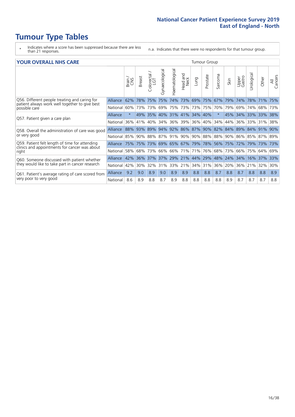# **Tumour Type Tables**

- \* Indicates where a score has been suppressed because there are less than 21 responses.
- n.a. Indicates that there were no respondents for that tumour group.

#### **YOUR OVERALL NHS CARE** THE CONSTRUCTION OF THE THROUP GROUP TUMOUR GROUP

|          | Brain   | <b>Breast</b> | ╮<br>olorectal,<br>LGT<br>$\cup$ | Gynaecological | Haematological                              | Head and<br>Neck      | Lung    | Prostate                              | arcoma<br>ιñ                              | Skin                                                   | Upper<br>Gastro                                        | $\overline{c}$<br>Urologic                                                       | Other                 | All<br>Cancers                                                                   |
|----------|---------|---------------|----------------------------------|----------------|---------------------------------------------|-----------------------|---------|---------------------------------------|-------------------------------------------|--------------------------------------------------------|--------------------------------------------------------|----------------------------------------------------------------------------------|-----------------------|----------------------------------------------------------------------------------|
| Alliance | 62%     | 78%           | 75%                              | 75%            | 74%                                         | 73%                   |         |                                       | 67%                                       | 79%                                                    | 74%                                                    | 78%                                                                              | 71%                   | 75%                                                                              |
| National |         |               |                                  |                |                                             |                       |         |                                       |                                           |                                                        | 69%                                                    | 74%                                                                              |                       | 73%                                                                              |
| Alliance | $\star$ |               |                                  |                |                                             |                       |         |                                       | $\ast$                                    |                                                        |                                                        |                                                                                  |                       |                                                                                  |
| National | 36%     | 41%           | 40%                              | 34%            |                                             |                       |         |                                       |                                           | 44%                                                    | 36%                                                    | 33%                                                                              | 31%                   | 38%                                                                              |
| Alliance |         | 93%           |                                  |                |                                             |                       |         |                                       |                                           |                                                        |                                                        |                                                                                  |                       | 90%                                                                              |
| National |         |               |                                  |                |                                             |                       |         |                                       |                                           |                                                        |                                                        |                                                                                  |                       |                                                                                  |
| Alliance |         |               |                                  |                |                                             |                       |         |                                       |                                           |                                                        |                                                        |                                                                                  |                       | 73%                                                                              |
| National |         | 68%           |                                  | 66%            |                                             |                       | 71%     |                                       |                                           | 73%                                                    | 66%                                                    | 75%                                                                              |                       | 69%                                                                              |
| Alliance | 42%     | 36%           | 37%                              | 37%            | 29%                                         |                       |         |                                       | 48%                                       | 24%                                                    | 34%                                                    | 16%                                                                              |                       | 33%                                                                              |
| National |         | 30%           |                                  | 31%            |                                             |                       |         |                                       | 36%                                       | 20%                                                    | 36%                                                    |                                                                                  |                       | 30%                                                                              |
| Alliance | 9.2     | 9.0           | 8.9                              | 9.0            | 8.9                                         | 8.9                   | 8.8     | 8.8                                   | 8.7                                       | 8.8                                                    | 8.7                                                    | 8.8                                                                              | 8.8                   | 8.9                                                                              |
| National | 8.6     | 8.9           | 8.8                              | 8.7            | 8.9                                         | 8.8                   | 8.8     | 8.8                                   | 8.8                                       | 8.9                                                    | 8.7                                                    | 8.7                                                                              | 8.7                   | 8.8                                                                              |
|          |         |               | 60%<br>88%<br>58%<br>42%         | 49% 35%        | 73% 73%<br>89%<br>85% 90% 88%<br>73%<br>32% | 69%<br>94% 92%<br>66% | 36% 39% | 75% 73%<br>71%<br>$ 21\% $<br>33% 21% | 69% 75%<br>40% 31% 41% 34% 40%<br>44% 29% | anour oroup<br>36% 40%<br>34%<br>76%<br>68%<br>34% 31% | 73% 75% 70%<br>75% 75% 73% 69% 65% 67% 79% 78% 56% 75% | 79%<br>86% 87% 90% 82% 84%<br> 87%   91%   90%   90%   88%   88%   90%  <br>172% | 89% 84%<br>79%<br>21% | 68%<br>45% 34% 33% 33% 38%<br>91%<br>86% 85% 87% 89%<br>73%<br>64%<br>37%<br>32% |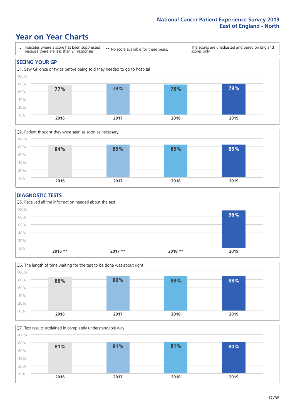### **Year on Year Charts**





#### **DIAGNOSTIC TESTS**





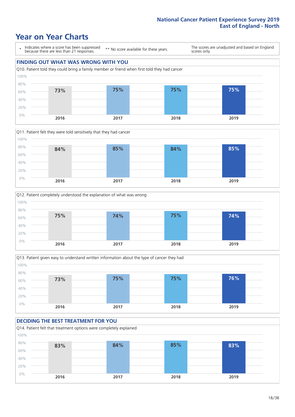### **Year on Year Charts**

\* Indicates where a score has been suppressed because there are less than 21 responses.

\*\* No score available for these years.

The scores are unadjusted and based on England scores only.

### **FINDING OUT WHAT WAS WRONG WITH YOU** Q10. Patient told they could bring a family member or friend when first told they had cancer 0% 20% 40% 60% 80% 100% **2016 2017 2018 2019 73% 75% 75% 75%**







#### **DECIDING THE BEST TREATMENT FOR YOU**

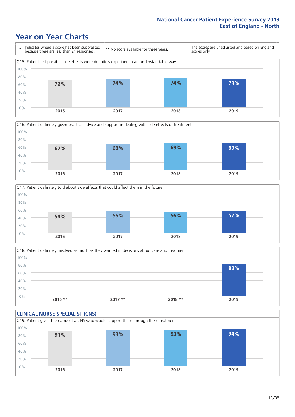### **Year on Year Charts**







Q18. Patient definitely involved as much as they wanted in decisions about care and treatment  $0%$ 20% 40% 60% 80% 100% **2016 \*\* 2017 \*\* 2018 \*\* 2019 83%**

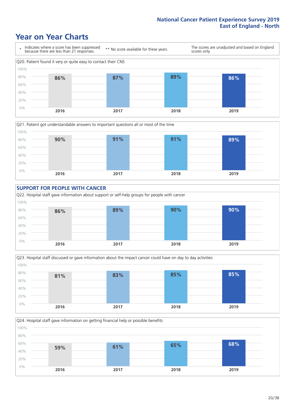### **Year on Year Charts**







Q23. Hospital staff discussed or gave information about the impact cancer could have on day to day activities 0% 20%  $40%$ 60% 80% 100% **2016 2017 2018 2019 81% 83% 85% 85%**

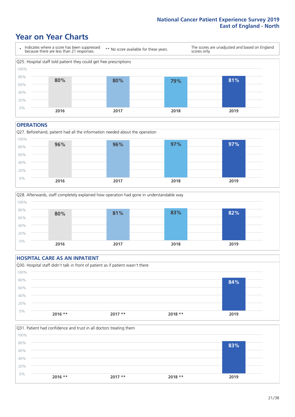### **Year on Year Charts**



#### **OPERATIONS**





|      | <b>HOSPITAL CARE AS AN INPATIENT</b> |                                                                                |          |      |  |
|------|--------------------------------------|--------------------------------------------------------------------------------|----------|------|--|
|      |                                      | Q30. Hospital staff didn't talk in front of patient as if patient wasn't there |          |      |  |
| 100% |                                      |                                                                                |          |      |  |
| 80%  |                                      |                                                                                |          | 84%  |  |
| 60%  |                                      |                                                                                |          |      |  |
| 40%  |                                      |                                                                                |          |      |  |
| 20%  |                                      |                                                                                |          |      |  |
| 0%   |                                      |                                                                                |          |      |  |
|      | $2016$ **                            | $2017**$                                                                       | $2018**$ | 2019 |  |

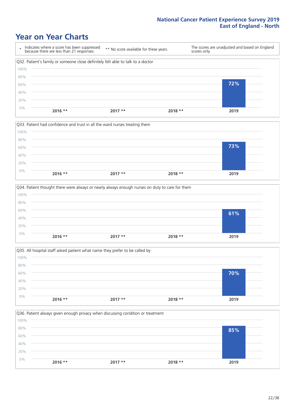### **Year on Year Charts**

|      | Indicates where a score has been suppressed<br>because there are less than 21 responses. | ** No score available for these years. | scores only. | The scores are unadjusted and based on England |
|------|------------------------------------------------------------------------------------------|----------------------------------------|--------------|------------------------------------------------|
|      | Q32. Patient's family or someone close definitely felt able to talk to a doctor          |                                        |              |                                                |
| 100% |                                                                                          |                                        |              |                                                |
| 80%  |                                                                                          |                                        |              |                                                |
| 60%  |                                                                                          |                                        |              | 72%                                            |
| 40%  |                                                                                          |                                        |              |                                                |
| 20%  |                                                                                          |                                        |              |                                                |
| 0%   | $2016$ **                                                                                | $2017**$                               | $2018**$     | 2019                                           |







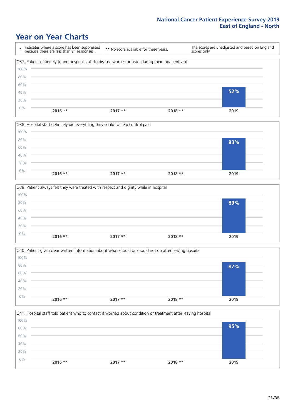### **Year on Year Charts**

\* Indicates where a score has been suppressed because there are less than 21 responses. \*\* No score available for these years. The scores are unadjusted and based on England scores only. Q37. Patient definitely found hospital staff to discuss worries or fears during their inpatient visit 0% 20% 40% 60% 80% 100% **2016 \*\* 2017 \*\* 2018 \*\* 2019 52%**



|       |           | Q39. Patient always felt they were treated with respect and dignity while in hospital |          |      |  |
|-------|-----------|---------------------------------------------------------------------------------------|----------|------|--|
| 100%  |           |                                                                                       |          |      |  |
| 80%   |           |                                                                                       |          | 89%  |  |
| 60%   |           |                                                                                       |          |      |  |
| 40%   |           |                                                                                       |          |      |  |
| 20%   |           |                                                                                       |          |      |  |
| $0\%$ | $2016$ ** | $2017**$                                                                              | $2018**$ | 2019 |  |
|       |           |                                                                                       |          |      |  |

|       |           | Q40. Patient given clear written information about what should or should not do after leaving hospital |          |      |
|-------|-----------|--------------------------------------------------------------------------------------------------------|----------|------|
| 100%  |           |                                                                                                        |          |      |
| 80%   |           |                                                                                                        |          | 87%  |
| 60%   |           |                                                                                                        |          |      |
| 40%   |           |                                                                                                        |          |      |
| 20%   |           |                                                                                                        |          |      |
| $0\%$ | $2016$ ** | $2017**$                                                                                               | $2018**$ | 2019 |
|       |           |                                                                                                        |          |      |

|       |           |          | Q41. Hospital staff told patient who to contact if worried about condition or treatment after leaving hospital |      |
|-------|-----------|----------|----------------------------------------------------------------------------------------------------------------|------|
| 100%  |           |          |                                                                                                                |      |
| 80%   |           |          |                                                                                                                | 95%  |
| 60%   |           |          |                                                                                                                |      |
| 40%   |           |          |                                                                                                                |      |
| 20%   |           |          |                                                                                                                |      |
| $0\%$ |           |          |                                                                                                                |      |
|       | $2016$ ** | $2017**$ | $2018**$                                                                                                       | 2019 |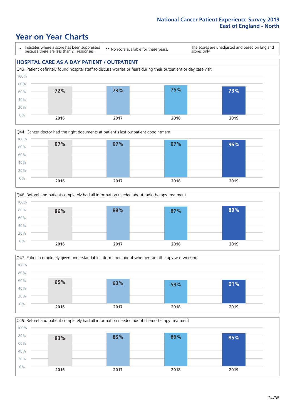### **Year on Year Charts**

\* Indicates where a score has been suppressed because there are less than 21 responses.

\*\* No score available for these years.

The scores are unadjusted and based on England scores only.

#### **HOSPITAL CARE AS A DAY PATIENT / OUTPATIENT**









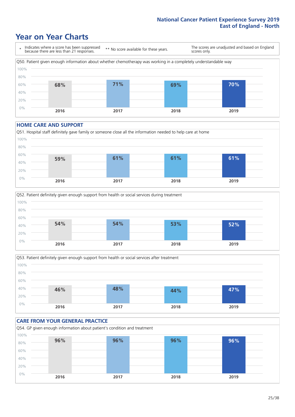### **Year on Year Charts**



#### **HOME CARE AND SUPPORT**







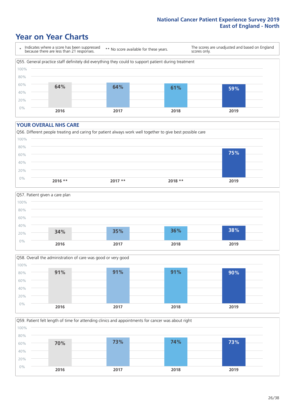### **Year on Year Charts**

\* Indicates where a score has been suppressed because there are less than 21 responses. \*\* No score available for these years. The scores are unadjusted and based on England scores only. Q55. General practice staff definitely did everything they could to support patient during treatment 0% 20% 40% 60% 80% 100% **2016 2017 2018 2019 64% 64% 61% 59%**

#### **YOUR OVERALL NHS CARE**







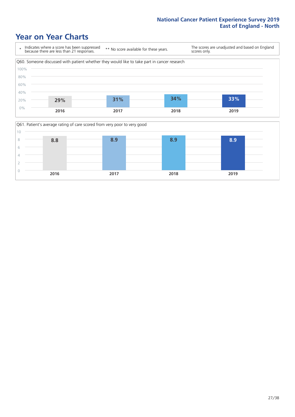### **Year on Year Charts**



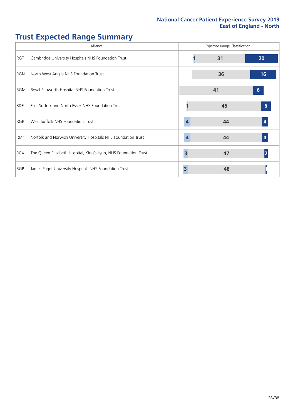# **Trust Expected Range Summary**

|            | Alliance                                                        |   | <b>Expected Range Classification</b> |                  |
|------------|-----------------------------------------------------------------|---|--------------------------------------|------------------|
| RGT        | Cambridge University Hospitals NHS Foundation Trust             |   | 31                                   | 20               |
| RGN        | North West Anglia NHS Foundation Trust                          |   | 36                                   | 16               |
| RGM        | Royal Papworth Hospital NHS Foundation Trust                    |   | 41                                   | 6 <sup>°</sup>   |
| <b>RDE</b> | East Suffolk and North Essex NHS Foundation Trust               |   | 45                                   | 6                |
| RGR        | West Suffolk NHS Foundation Trust                               | 4 | 44                                   | $\boldsymbol{4}$ |
| RM1        | Norfolk and Norwich University Hospitals NHS Foundation Trust   | 4 | 44                                   |                  |
| <b>RCX</b> | The Queen Elizabeth Hospital, King's Lynn, NHS Foundation Trust | 3 | 47                                   |                  |
| <b>RGP</b> | James Paget University Hospitals NHS Foundation Trust           | 3 | 48                                   |                  |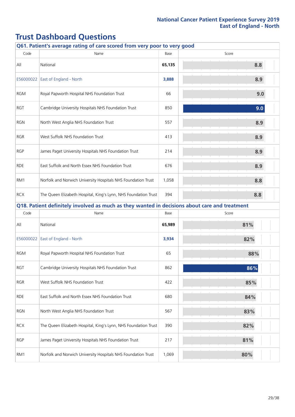|            | Q61. Patient's average rating of care scored from very poor to very good                      |        |       |  |  |
|------------|-----------------------------------------------------------------------------------------------|--------|-------|--|--|
| Code       | Name                                                                                          | Base   | Score |  |  |
| All        | National                                                                                      | 65,135 | 8.8   |  |  |
|            | E56000022 East of England - North                                                             | 3,888  | 8.9   |  |  |
| <b>RGM</b> | Royal Papworth Hospital NHS Foundation Trust                                                  | 66     | 9.0   |  |  |
| RGT        | Cambridge University Hospitals NHS Foundation Trust                                           | 850    | 9.0   |  |  |
| <b>RGN</b> | North West Anglia NHS Foundation Trust                                                        | 557    | 8.9   |  |  |
| <b>RGR</b> | West Suffolk NHS Foundation Trust                                                             | 413    | 8.9   |  |  |
| <b>RGP</b> | James Paget University Hospitals NHS Foundation Trust                                         | 214    | 8.9   |  |  |
| <b>RDE</b> | East Suffolk and North Essex NHS Foundation Trust                                             | 676    | 8.9   |  |  |
| RM1        | Norfolk and Norwich University Hospitals NHS Foundation Trust                                 | 1,058  | 8.8   |  |  |
| <b>RCX</b> | The Queen Elizabeth Hospital, King's Lynn, NHS Foundation Trust                               | 394    | 8.8   |  |  |
|            | Q18. Patient definitely involved as much as they wanted in decisions about care and treatment |        |       |  |  |
| Code       | Name                                                                                          | Base   | Score |  |  |
| All        | National                                                                                      | 65,989 | 81%   |  |  |
| E56000022  | East of England - North                                                                       | 3,934  | 82%   |  |  |
| <b>RGM</b> | Royal Papworth Hospital NHS Foundation Trust                                                  | 65     | 88%   |  |  |
| <b>RGT</b> | Cambridge University Hospitals NHS Foundation Trust                                           | 862    | 86%   |  |  |
| RGR        | West Suffolk NHS Foundation Trust                                                             | 422    | 85%   |  |  |
| <b>RDE</b> | East Suffolk and North Essex NHS Foundation Trust                                             | 680    | 84%   |  |  |
| <b>RGN</b> | North West Anglia NHS Foundation Trust                                                        | 567    | 83%   |  |  |
| <b>RCX</b> | The Queen Elizabeth Hospital, King's Lynn, NHS Foundation Trust                               | 390    | 82%   |  |  |
| <b>RGP</b> | James Paget University Hospitals NHS Foundation Trust                                         | 217    | 81%   |  |  |
| RM1        | Norfolk and Norwich University Hospitals NHS Foundation Trust                                 | 1,069  | 80%   |  |  |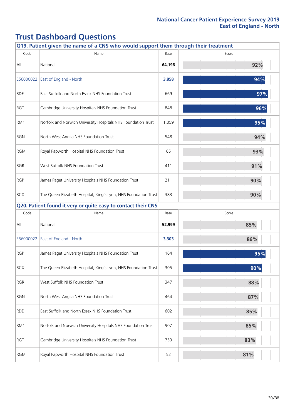|            | Q19. Patient given the name of a CNS who would support them through their treatment |        |       |     |
|------------|-------------------------------------------------------------------------------------|--------|-------|-----|
| Code       | Name                                                                                | Base   | Score |     |
| All        | National                                                                            | 64,196 |       | 92% |
| E56000022  | East of England - North                                                             | 3,858  |       | 94% |
| <b>RDE</b> | East Suffolk and North Essex NHS Foundation Trust                                   | 669    |       | 97% |
| <b>RGT</b> | Cambridge University Hospitals NHS Foundation Trust                                 | 848    |       | 96% |
| RM1        | Norfolk and Norwich University Hospitals NHS Foundation Trust                       | 1,059  |       | 95% |
| <b>RGN</b> | North West Anglia NHS Foundation Trust                                              | 548    |       | 94% |
| <b>RGM</b> | Royal Papworth Hospital NHS Foundation Trust                                        | 65     |       | 93% |
| <b>RGR</b> | West Suffolk NHS Foundation Trust                                                   | 411    |       | 91% |
| <b>RGP</b> | James Paget University Hospitals NHS Foundation Trust                               | 211    |       | 90% |
| <b>RCX</b> | The Queen Elizabeth Hospital, King's Lynn, NHS Foundation Trust                     | 383    |       | 90% |
|            | Q20. Patient found it very or quite easy to contact their CNS                       |        |       |     |
| Code       | Name                                                                                | Base   | Score |     |
| All        | National                                                                            | 52,999 |       | 85% |
| E56000022  | East of England - North                                                             | 3,303  |       | 86% |
| <b>RGP</b> | James Paget University Hospitals NHS Foundation Trust                               | 164    |       | 95% |
| RCX        | The Queen Elizabeth Hospital, King's Lynn, NHS Foundation Trust                     | 305    |       | 90% |
| <b>RGR</b> | West Suffolk NHS Foundation Trust                                                   | 347    |       | 88% |
| <b>RGN</b> | North West Anglia NHS Foundation Trust                                              | 464    |       | 87% |
| <b>RDE</b> | East Suffolk and North Essex NHS Foundation Trust                                   | 602    |       | 85% |
| RM1        | Norfolk and Norwich University Hospitals NHS Foundation Trust                       | 907    |       | 85% |
| RGT        | Cambridge University Hospitals NHS Foundation Trust                                 | 753    | 83%   |     |
| <b>RGM</b> | Royal Papworth Hospital NHS Foundation Trust                                        | 52     | 81%   |     |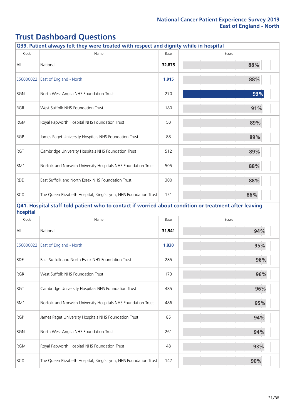| Q39. Patient always felt they were treated with respect and dignity while in hospital |                                                                                                       |        |       |  |
|---------------------------------------------------------------------------------------|-------------------------------------------------------------------------------------------------------|--------|-------|--|
| Code                                                                                  | Name                                                                                                  | Base   | Score |  |
| All                                                                                   | National                                                                                              | 32,875 | 88%   |  |
| E56000022                                                                             | <b>East of England - North</b>                                                                        | 1,915  | 88%   |  |
| <b>RGN</b>                                                                            | North West Anglia NHS Foundation Trust                                                                | 270    | 93%   |  |
| <b>RGR</b>                                                                            | West Suffolk NHS Foundation Trust                                                                     | 180    | 91%   |  |
| <b>RGM</b>                                                                            | Royal Papworth Hospital NHS Foundation Trust                                                          | 50     | 89%   |  |
| <b>RGP</b>                                                                            | James Paget University Hospitals NHS Foundation Trust                                                 | 88     | 89%   |  |
| <b>RGT</b>                                                                            | Cambridge University Hospitals NHS Foundation Trust                                                   | 512    | 89%   |  |
| RM1                                                                                   | Norfolk and Norwich University Hospitals NHS Foundation Trust                                         | 505    | 88%   |  |
| <b>RDE</b>                                                                            | East Suffolk and North Essex NHS Foundation Trust                                                     | 300    | 88%   |  |
| <b>RCX</b>                                                                            | The Queen Elizabeth Hospital, King's Lynn, NHS Foundation Trust                                       | 151    | 86%   |  |
| hospital                                                                              | Q41. Hospital staff told patient who to contact if worried about condition or treatment after leaving |        |       |  |
| Code                                                                                  | Name                                                                                                  | Base   | Score |  |
| All                                                                                   | National                                                                                              | 31,541 | 94%   |  |
| E56000022                                                                             | East of England - North                                                                               | 1,830  | 95%   |  |
| <b>RDE</b>                                                                            | East Suffolk and North Essex NHS Foundation Trust                                                     | 285    | 96%   |  |
| <b>RGR</b>                                                                            | West Suffolk NHS Foundation Trust                                                                     | 173    | 96%   |  |
| RGT                                                                                   | Cambridge University Hospitals NHS Foundation Trust                                                   | 485    | 96%   |  |
| RM1                                                                                   | Norfolk and Norwich University Hospitals NHS Foundation Trust                                         | 486    | 95%   |  |
| <b>RGP</b>                                                                            | James Paget University Hospitals NHS Foundation Trust                                                 | 85     | 94%   |  |
| <b>RGN</b>                                                                            | North West Anglia NHS Foundation Trust                                                                | 261    | 94%   |  |
| <b>RGM</b>                                                                            | Royal Papworth Hospital NHS Foundation Trust                                                          | 48     | 93%   |  |
| <b>RCX</b>                                                                            | The Queen Elizabeth Hospital, King's Lynn, NHS Foundation Trust                                       | 142    | 90%   |  |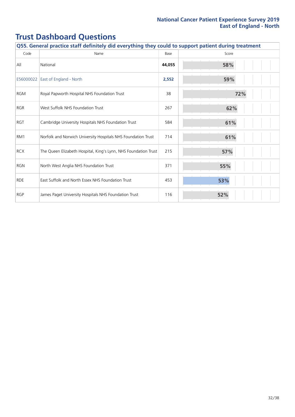|            | Q55. General practice staff definitely did everything they could to support patient during treatment |        |       |  |  |
|------------|------------------------------------------------------------------------------------------------------|--------|-------|--|--|
| Code       | Name                                                                                                 | Base   | Score |  |  |
| All        | National                                                                                             | 44,055 | 58%   |  |  |
| E56000022  | East of England - North                                                                              | 2,552  | 59%   |  |  |
| <b>RGM</b> | Royal Papworth Hospital NHS Foundation Trust                                                         | 38     | 72%   |  |  |
| <b>RGR</b> | West Suffolk NHS Foundation Trust                                                                    | 267    | 62%   |  |  |
| <b>RGT</b> | Cambridge University Hospitals NHS Foundation Trust                                                  | 584    | 61%   |  |  |
| RM1        | Norfolk and Norwich University Hospitals NHS Foundation Trust                                        | 714    | 61%   |  |  |
| <b>RCX</b> | The Queen Elizabeth Hospital, King's Lynn, NHS Foundation Trust                                      | 215    | 57%   |  |  |
| <b>RGN</b> | North West Anglia NHS Foundation Trust                                                               | 371    | 55%   |  |  |
| <b>RDE</b> | East Suffolk and North Essex NHS Foundation Trust                                                    | 453    | 53%   |  |  |
| <b>RGP</b> | James Paget University Hospitals NHS Foundation Trust                                                | 116    | 52%   |  |  |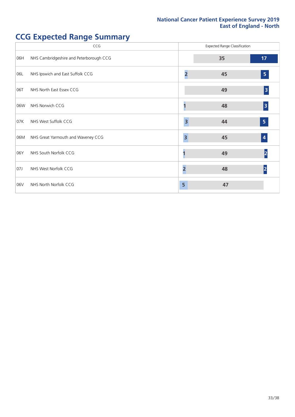# **CCG Expected Range Summary**

|     | CCG                                     |                         | <b>Expected Range Classification</b> |                         |
|-----|-----------------------------------------|-------------------------|--------------------------------------|-------------------------|
| 06H | NHS Cambridgeshire and Peterborough CCG |                         | 35                                   | 17                      |
| 06L | NHS Ipswich and East Suffolk CCG        |                         | 45                                   | $\overline{\mathbf{5}}$ |
| 06T | NHS North East Essex CCG                |                         | 49                                   | 3                       |
| 06W | NHS Norwich CCG                         |                         | 48                                   | 3                       |
| 07K | NHS West Suffolk CCG                    | $\overline{\mathbf{3}}$ | 44                                   | $\overline{\mathbf{5}}$ |
| 06M | NHS Great Yarmouth and Waveney CCG      | 3                       | 45                                   | $\vert$ 4               |
| 06Y | NHS South Norfolk CCG                   |                         | 49                                   | 2                       |
| 07J | NHS West Norfolk CCG                    | 2                       | 48                                   | $\overline{\mathsf{2}}$ |
| 06V | NHS North Norfolk CCG                   | 5                       | 47                                   |                         |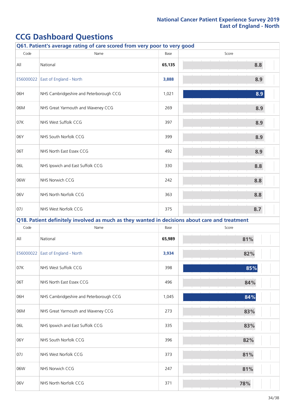|           | Q61. Patient's average rating of care scored from very poor to very good                      |        |       |  |  |  |
|-----------|-----------------------------------------------------------------------------------------------|--------|-------|--|--|--|
| Code      | Name                                                                                          | Base   | Score |  |  |  |
| All       | National                                                                                      | 65,135 | 8.8   |  |  |  |
| E56000022 | East of England - North                                                                       | 3,888  | 8.9   |  |  |  |
| 06H       | NHS Cambridgeshire and Peterborough CCG                                                       | 1,021  | 8.9   |  |  |  |
| 06M       | NHS Great Yarmouth and Waveney CCG                                                            | 269    | 8.9   |  |  |  |
| 07K       | NHS West Suffolk CCG                                                                          | 397    | 8.9   |  |  |  |
| 06Y       | NHS South Norfolk CCG                                                                         | 399    | 8.9   |  |  |  |
| 06T       | NHS North East Essex CCG                                                                      | 492    | 8.9   |  |  |  |
| 06L       | NHS Ipswich and East Suffolk CCG                                                              | 330    | 8.8   |  |  |  |
| 06W       | NHS Norwich CCG                                                                               | 242    | 8.8   |  |  |  |
| 06V       | NHS North Norfolk CCG                                                                         | 363    | 8.8   |  |  |  |
| 07J       | NHS West Norfolk CCG                                                                          | 375    | 8.7   |  |  |  |
|           | Q18. Patient definitely involved as much as they wanted in decisions about care and treatment |        |       |  |  |  |
| Code      | Name                                                                                          | Base   | Score |  |  |  |
| All       | National                                                                                      | 65,989 | 81%   |  |  |  |
|           | E56000022 East of England - North                                                             | 3,934  | 82%   |  |  |  |
| 07K       | NHS West Suffolk CCG                                                                          | 398    | 85%   |  |  |  |
| 06T       | NHS North East Essex CCG                                                                      | 496    | 84%   |  |  |  |
| 06H       | NHS Cambridgeshire and Peterborough CCG                                                       | 1,045  | 84%   |  |  |  |
| 06M       | NHS Great Yarmouth and Waveney CCG                                                            | 273    | 83%   |  |  |  |
| 06L       | NHS Ipswich and East Suffolk CCG                                                              | 335    | 83%   |  |  |  |
| 06Y       | NHS South Norfolk CCG                                                                         | 396    | 82%   |  |  |  |
| 07J       | NHS West Norfolk CCG                                                                          | 373    | 81%   |  |  |  |
| 06W       | NHS Norwich CCG                                                                               | 247    | 81%   |  |  |  |
| 06V       | NHS North Norfolk CCG                                                                         | 371    | 78%   |  |  |  |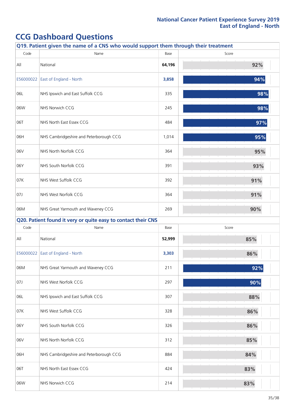|           | Q19. Patient given the name of a CNS who would support them through their treatment |        |       |
|-----------|-------------------------------------------------------------------------------------|--------|-------|
| Code      | Name                                                                                | Base   | Score |
| All       | National                                                                            | 64,196 | 92%   |
| E56000022 | East of England - North                                                             | 3,858  | 94%   |
| 06L       | NHS Ipswich and East Suffolk CCG                                                    | 335    | 98%   |
| 06W       | NHS Norwich CCG                                                                     | 245    | 98%   |
| 06T       | NHS North East Essex CCG                                                            | 484    | 97%   |
| 06H       | NHS Cambridgeshire and Peterborough CCG                                             | 1,014  | 95%   |
| 06V       | NHS North Norfolk CCG                                                               | 364    | 95%   |
| 06Y       | NHS South Norfolk CCG                                                               | 391    | 93%   |
| 07K       | NHS West Suffolk CCG                                                                | 392    | 91%   |
| 07J       | NHS West Norfolk CCG                                                                | 364    | 91%   |
| 06M       | NHS Great Yarmouth and Waveney CCG                                                  | 269    | 90%   |
|           | Q20. Patient found it very or quite easy to contact their CNS                       |        |       |
| Code      | Name                                                                                | Base   | Score |
| All       | National                                                                            | 52,999 | 85%   |
|           | E56000022 East of England - North                                                   | 3,303  | 86%   |
| 06M       | NHS Great Yarmouth and Waveney CCG                                                  | 211    | 92%   |
| 07J       | NHS West Norfolk CCG                                                                | 297    | 90%   |
| 06L       | NHS Ipswich and East Suffolk CCG                                                    | 307    | 88%   |
|           |                                                                                     |        |       |
| 07K       | NHS West Suffolk CCG                                                                | 328    | 86%   |
| 06Y       | NHS South Norfolk CCG                                                               | 326    | 86%   |
| 06V       | NHS North Norfolk CCG                                                               | 312    | 85%   |
| 06H       | NHS Cambridgeshire and Peterborough CCG                                             | 884    | 84%   |
| 06T       | NHS North East Essex CCG                                                            | 424    | 83%   |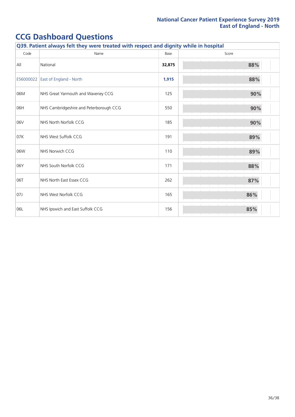|           | Q39. Patient always felt they were treated with respect and dignity while in hospital |        |       |  |  |
|-----------|---------------------------------------------------------------------------------------|--------|-------|--|--|
| Code      | Name                                                                                  | Base   | Score |  |  |
| All       | National                                                                              | 32,875 | 88%   |  |  |
| E56000022 | East of England - North                                                               | 1,915  | 88%   |  |  |
| 06M       | NHS Great Yarmouth and Waveney CCG                                                    | 125    | 90%   |  |  |
| 06H       | NHS Cambridgeshire and Peterborough CCG                                               | 550    | 90%   |  |  |
| 06V       | NHS North Norfolk CCG                                                                 | 185    | 90%   |  |  |
| 07K       | NHS West Suffolk CCG                                                                  | 191    | 89%   |  |  |
| 06W       | NHS Norwich CCG                                                                       | 110    | 89%   |  |  |
| 06Y       | NHS South Norfolk CCG                                                                 | 171    | 88%   |  |  |
| 06T       | NHS North East Essex CCG                                                              | 262    | 87%   |  |  |
| 07J       | NHS West Norfolk CCG                                                                  | 165    | 86%   |  |  |
| 06L       | NHS Ipswich and East Suffolk CCG                                                      | 156    | 85%   |  |  |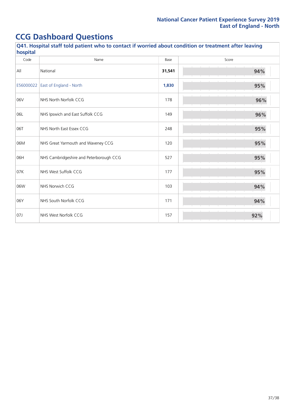| Q41. Hospital staff told patient who to contact if worried about condition or treatment after leaving<br>hospital |                                         |        |       |  |
|-------------------------------------------------------------------------------------------------------------------|-----------------------------------------|--------|-------|--|
| Code                                                                                                              | Name                                    | Base   | Score |  |
| All                                                                                                               | National                                | 31,541 | 94%   |  |
| E56000022                                                                                                         | East of England - North                 | 1,830  | 95%   |  |
| 06V                                                                                                               | NHS North Norfolk CCG                   | 178    | 96%   |  |
| 06L                                                                                                               | NHS Ipswich and East Suffolk CCG        | 149    | 96%   |  |
| 06T                                                                                                               | NHS North East Essex CCG                | 248    | 95%   |  |
| 06M                                                                                                               | NHS Great Yarmouth and Waveney CCG      | 120    | 95%   |  |
| 06H                                                                                                               | NHS Cambridgeshire and Peterborough CCG | 527    | 95%   |  |
| 07K                                                                                                               | NHS West Suffolk CCG                    | 177    | 95%   |  |
| 06W                                                                                                               | NHS Norwich CCG                         | 103    | 94%   |  |
| 06Y                                                                                                               | NHS South Norfolk CCG                   | 171    | 94%   |  |
| 07J                                                                                                               | NHS West Norfolk CCG                    | 157    | 92%   |  |